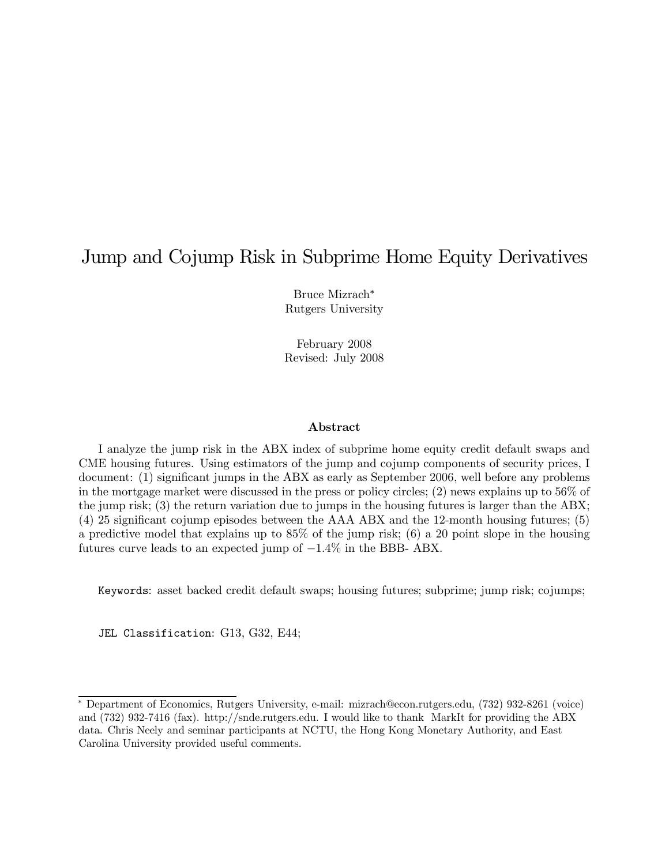# Jump and Cojump Risk in Subprime Home Equity Derivatives

Bruce Mizrach<sup>∗</sup> Rutgers University

February 2008 Revised: July 2008

### Abstract

I analyze the jump risk in the ABX index of subprime home equity credit default swaps and CME housing futures. Using estimators of the jump and cojump components of security prices, I document: (1) significant jumps in the ABX as early as September 2006, well before any problems in the mortgage market were discussed in the press or policy circles; (2) news explains up to 56% of the jump risk; (3) the return variation due to jumps in the housing futures is larger than the ABX; (4) 25 significant cojump episodes between the AAA ABX and the 12-month housing futures; (5) a predictive model that explains up to 85% of the jump risk; (6) a 20 point slope in the housing futures curve leads to an expected jump of −1.4% in the BBB- ABX.

Keywords: asset backed credit default swaps; housing futures; subprime; jump risk; cojumps;

JEL Classification: G13, G32, E44;

<sup>∗</sup> Department of Economics, Rutgers University, e-mail: mizrach@econ.rutgers.edu, (732) 932-8261 (voice) and (732) 932-7416 (fax). http://snde.rutgers.edu. I would like to thank MarkIt for providing the ABX data. Chris Neely and seminar participants at NCTU, the Hong Kong Monetary Authority, and East Carolina University provided useful comments.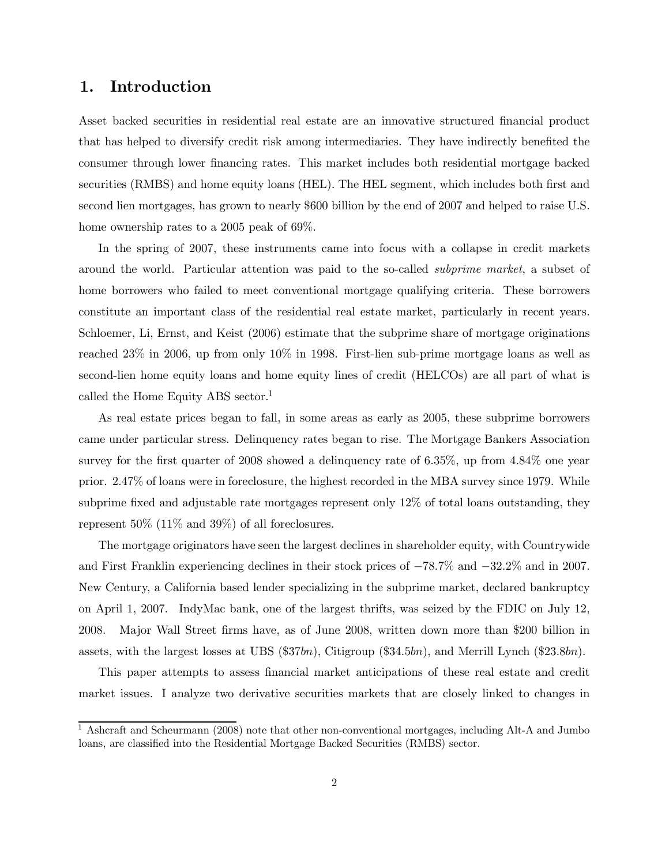### 1. Introduction

Asset backed securities in residential real estate are an innovative structured financial product that has helped to diversify credit risk among intermediaries. They have indirectly benefited the consumer through lower financing rates. This market includes both residential mortgage backed securities (RMBS) and home equity loans (HEL). The HEL segment, which includes both first and second lien mortgages, has grown to nearly \$600 billion by the end of 2007 and helped to raise U.S. home ownership rates to a 2005 peak of 69%.

In the spring of 2007, these instruments came into focus with a collapse in credit markets around the world. Particular attention was paid to the so-called subprime market, a subset of home borrowers who failed to meet conventional mortgage qualifying criteria. These borrowers constitute an important class of the residential real estate market, particularly in recent years. Schloemer, Li, Ernst, and Keist (2006) estimate that the subprime share of mortgage originations reached 23% in 2006, up from only 10% in 1998. First-lien sub-prime mortgage loans as well as second-lien home equity loans and home equity lines of credit (HELCOs) are all part of what is called the Home Equity ABS sector.<sup>1</sup>

As real estate prices began to fall, in some areas as early as 2005, these subprime borrowers came under particular stress. Delinquency rates began to rise. The Mortgage Bankers Association survey for the first quarter of 2008 showed a delinquency rate of 6.35%, up from 4.84% one year prior. 2.47% of loans were in foreclosure, the highest recorded in the MBA survey since 1979. While subprime fixed and adjustable rate mortgages represent only 12% of total loans outstanding, they represent 50% (11% and 39%) of all foreclosures.

The mortgage originators have seen the largest declines in shareholder equity, with Countrywide and First Franklin experiencing declines in their stock prices of −78.7% and −32.2% and in 2007. New Century, a California based lender specializing in the subprime market, declared bankruptcy on April 1, 2007. IndyMac bank, one of the largest thrifts, was seized by the FDIC on July 12, 2008. Major Wall Street firms have, as of June 2008, written down more than \$200 billion in assets, with the largest losses at UBS  $(\$37bn)$ , Citigroup  $(\$34.5bn)$ , and Merrill Lynch  $(\$23.8bn)$ .

This paper attempts to assess financial market anticipations of these real estate and credit market issues. I analyze two derivative securities markets that are closely linked to changes in

<sup>1</sup> Ashcraft and Scheurmann (2008) note that other non-conventional mortgages, including Alt-A and Jumbo loans, are classified into the Residential Mortgage Backed Securities (RMBS) sector.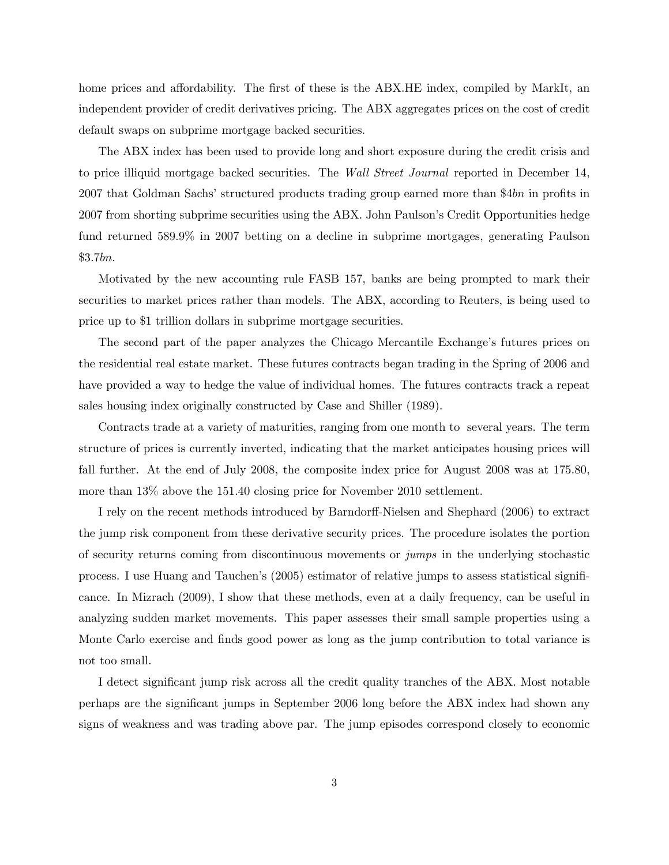home prices and affordability. The first of these is the ABX.HE index, compiled by MarkIt, an independent provider of credit derivatives pricing. The ABX aggregates prices on the cost of credit default swaps on subprime mortgage backed securities.

The ABX index has been used to provide long and short exposure during the credit crisis and to price illiquid mortgage backed securities. The Wall Street Journal reported in December 14, 2007 that Goldman Sachs' structured products trading group earned more than \$4bn in profits in 2007 from shorting subprime securities using the ABX. John Paulson's Credit Opportunities hedge fund returned 589.9% in 2007 betting on a decline in subprime mortgages, generating Paulson \$3.7bn.

Motivated by the new accounting rule FASB 157, banks are being prompted to mark their securities to market prices rather than models. The ABX, according to Reuters, is being used to price up to \$1 trillion dollars in subprime mortgage securities.

The second part of the paper analyzes the Chicago Mercantile Exchange's futures prices on the residential real estate market. These futures contracts began trading in the Spring of 2006 and have provided a way to hedge the value of individual homes. The futures contracts track a repeat sales housing index originally constructed by Case and Shiller (1989).

Contracts trade at a variety of maturities, ranging from one month to several years. The term structure of prices is currently inverted, indicating that the market anticipates housing prices will fall further. At the end of July 2008, the composite index price for August 2008 was at 175.80, more than 13% above the 151.40 closing price for November 2010 settlement.

I rely on the recent methods introduced by Barndorff-Nielsen and Shephard (2006) to extract the jump risk component from these derivative security prices. The procedure isolates the portion of security returns coming from discontinuous movements or jumps in the underlying stochastic process. I use Huang and Tauchen's (2005) estimator of relative jumps to assess statistical significance. In Mizrach (2009), I show that these methods, even at a daily frequency, can be useful in analyzing sudden market movements. This paper assesses their small sample properties using a Monte Carlo exercise and finds good power as long as the jump contribution to total variance is not too small.

I detect significant jump risk across all the credit quality tranches of the ABX. Most notable perhaps are the significant jumps in September 2006 long before the ABX index had shown any signs of weakness and was trading above par. The jump episodes correspond closely to economic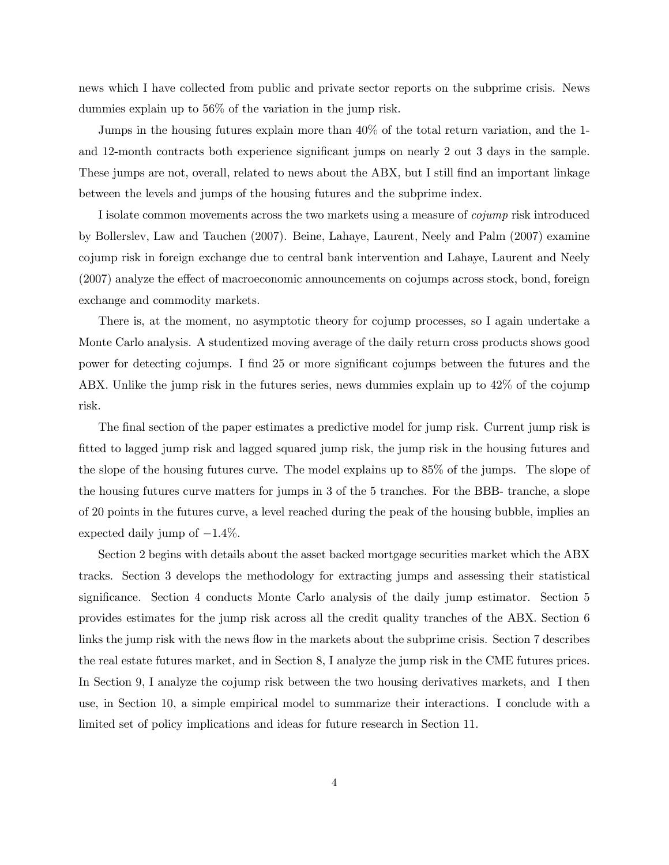news which I have collected from public and private sector reports on the subprime crisis. News dummies explain up to 56% of the variation in the jump risk.

Jumps in the housing futures explain more than 40% of the total return variation, and the 1 and 12-month contracts both experience significant jumps on nearly 2 out 3 days in the sample. These jumps are not, overall, related to news about the ABX, but I still find an important linkage between the levels and jumps of the housing futures and the subprime index.

I isolate common movements across the two markets using a measure of cojump risk introduced by Bollerslev, Law and Tauchen (2007). Beine, Lahaye, Laurent, Neely and Palm (2007) examine cojump risk in foreign exchange due to central bank intervention and Lahaye, Laurent and Neely (2007) analyze the effect of macroeconomic announcements on cojumps across stock, bond, foreign exchange and commodity markets.

There is, at the moment, no asymptotic theory for cojump processes, so I again undertake a Monte Carlo analysis. A studentized moving average of the daily return cross products shows good power for detecting cojumps. I find 25 or more significant cojumps between the futures and the ABX. Unlike the jump risk in the futures series, news dummies explain up to 42% of the cojump risk.

The final section of the paper estimates a predictive model for jump risk. Current jump risk is fitted to lagged jump risk and lagged squared jump risk, the jump risk in the housing futures and the slope of the housing futures curve. The model explains up to 85% of the jumps. The slope of the housing futures curve matters for jumps in 3 of the 5 tranches. For the BBB- tranche, a slope of 20 points in the futures curve, a level reached during the peak of the housing bubble, implies an expected daily jump of  $-1.4\%$ .

Section 2 begins with details about the asset backed mortgage securities market which the ABX tracks. Section 3 develops the methodology for extracting jumps and assessing their statistical significance. Section 4 conducts Monte Carlo analysis of the daily jump estimator. Section 5 provides estimates for the jump risk across all the credit quality tranches of the ABX. Section 6 links the jump risk with the news flow in the markets about the subprime crisis. Section 7 describes the real estate futures market, and in Section 8, I analyze the jump risk in the CME futures prices. In Section 9, I analyze the cojump risk between the two housing derivatives markets, and I then use, in Section 10, a simple empirical model to summarize their interactions. I conclude with a limited set of policy implications and ideas for future research in Section 11.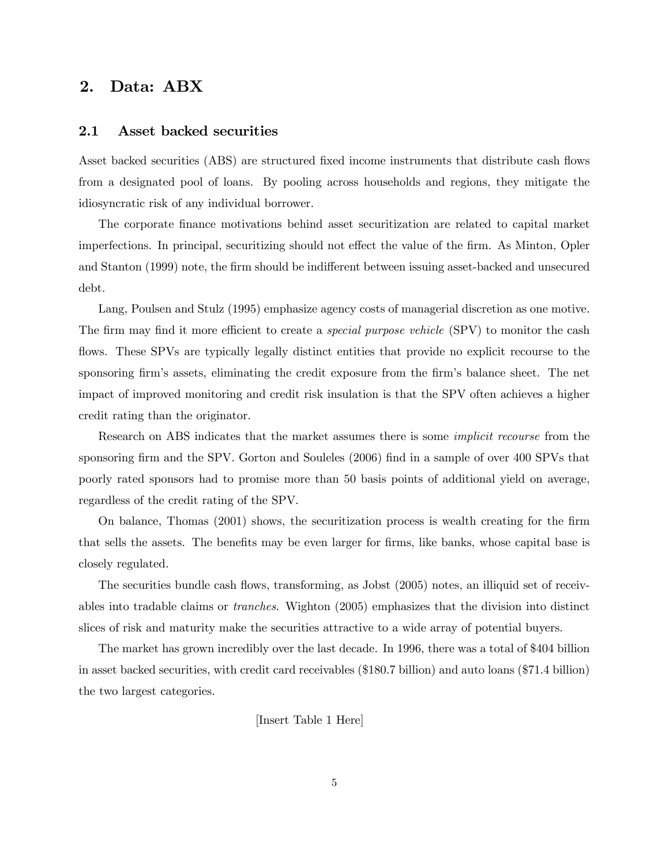## 2. Data: ABX

### 2.1 Asset backed securities

Asset backed securities (ABS) are structured fixed income instruments that distribute cash flows from a designated pool of loans. By pooling across households and regions, they mitigate the idiosyncratic risk of any individual borrower.

The corporate finance motivations behind asset securitization are related to capital market imperfections. In principal, securitizing should not effect the value of the firm. As Minton, Opler and Stanton (1999) note, the firm should be indifferent between issuing asset-backed and unsecured debt.

Lang, Poulsen and Stulz (1995) emphasize agency costs of managerial discretion as one motive. The firm may find it more efficient to create a *special purpose vehicle* (SPV) to monitor the cash flows. These SPVs are typically legally distinct entities that provide no explicit recourse to the sponsoring firm's assets, eliminating the credit exposure from the firm's balance sheet. The net impact of improved monitoring and credit risk insulation is that the SPV often achieves a higher credit rating than the originator.

Research on ABS indicates that the market assumes there is some implicit recourse from the sponsoring firm and the SPV. Gorton and Souleles (2006) find in a sample of over 400 SPVs that poorly rated sponsors had to promise more than 50 basis points of additional yield on average, regardless of the credit rating of the SPV.

On balance, Thomas (2001) shows, the securitization process is wealth creating for the firm that sells the assets. The benefits may be even larger for firms, like banks, whose capital base is closely regulated.

The securities bundle cash flows, transforming, as Jobst (2005) notes, an illiquid set of receivables into tradable claims or tranches. Wighton (2005) emphasizes that the division into distinct slices of risk and maturity make the securities attractive to a wide array of potential buyers.

The market has grown incredibly over the last decade. In 1996, there was a total of \$404 billion in asset backed securities, with credit card receivables (\$180.7 billion) and auto loans (\$71.4 billion) the two largest categories.

[Insert Table 1 Here]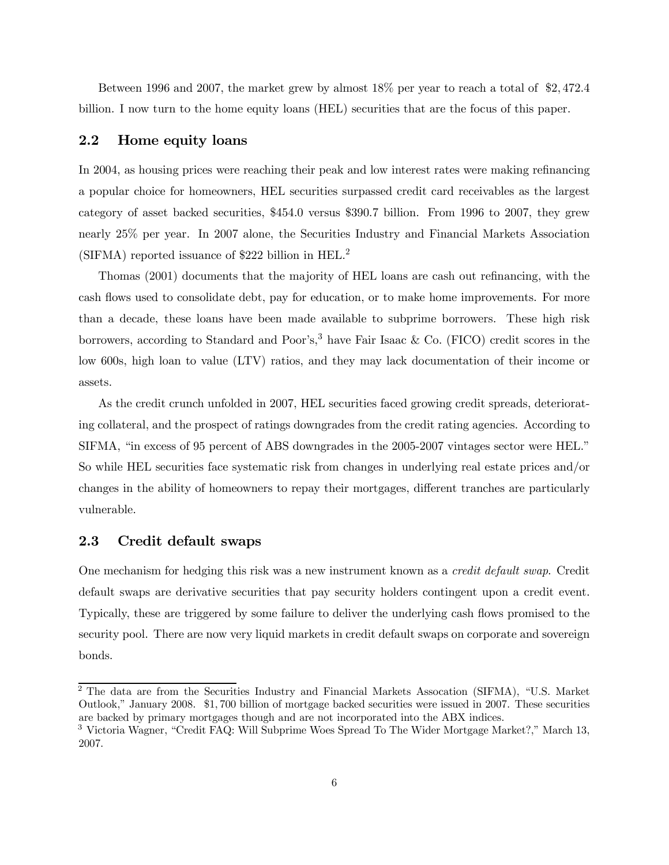Between 1996 and 2007, the market grew by almost 18% per year to reach a total of \$2, 472.4 billion. I now turn to the home equity loans (HEL) securities that are the focus of this paper.

### 2.2 Home equity loans

In 2004, as housing prices were reaching their peak and low interest rates were making refinancing a popular choice for homeowners, HEL securities surpassed credit card receivables as the largest category of asset backed securities, \$454.0 versus \$390.7 billion. From 1996 to 2007, they grew nearly 25% per year. In 2007 alone, the Securities Industry and Financial Markets Association (SIFMA) reported issuance of \$222 billion in HEL.<sup>2</sup>

Thomas (2001) documents that the majority of HEL loans are cash out refinancing, with the cash flows used to consolidate debt, pay for education, or to make home improvements. For more than a decade, these loans have been made available to subprime borrowers. These high risk borrowers, according to Standard and Poor's,<sup>3</sup> have Fair Isaac & Co. (FICO) credit scores in the low 600s, high loan to value (LTV) ratios, and they may lack documentation of their income or assets.

As the credit crunch unfolded in 2007, HEL securities faced growing credit spreads, deteriorating collateral, and the prospect of ratings downgrades from the credit rating agencies. According to SIFMA, "in excess of 95 percent of ABS downgrades in the 2005-2007 vintages sector were HEL." So while HEL securities face systematic risk from changes in underlying real estate prices and/or changes in the ability of homeowners to repay their mortgages, different tranches are particularly vulnerable.

### 2.3 Credit default swaps

One mechanism for hedging this risk was a new instrument known as a credit default swap. Credit default swaps are derivative securities that pay security holders contingent upon a credit event. Typically, these are triggered by some failure to deliver the underlying cash flows promised to the security pool. There are now very liquid markets in credit default swaps on corporate and sovereign bonds.

<sup>2</sup> The data are from the Securities Industry and Financial Markets Assocation (SIFMA), "U.S. Market Outlook," January 2008. \$1, 700 billion of mortgage backed securities were issued in 2007. These securities are backed by primary mortgages though and are not incorporated into the ABX indices.

<sup>3</sup> Victoria Wagner, "Credit FAQ: Will Subprime Woes Spread To The Wider Mortgage Market?," March 13, 2007.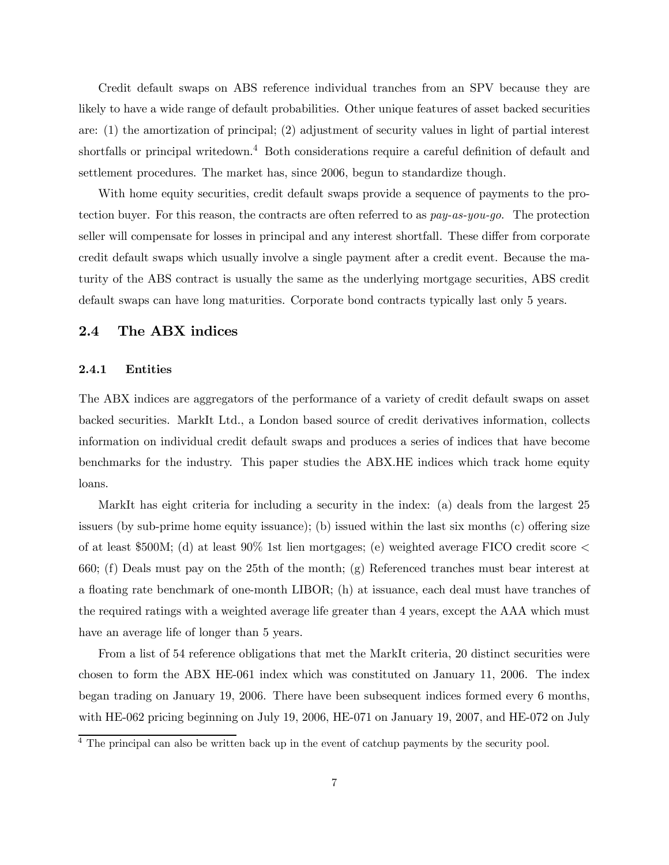Credit default swaps on ABS reference individual tranches from an SPV because they are likely to have a wide range of default probabilities. Other unique features of asset backed securities are: (1) the amortization of principal; (2) adjustment of security values in light of partial interest shortfalls or principal writedown.<sup>4</sup> Both considerations require a careful definition of default and settlement procedures. The market has, since 2006, begun to standardize though.

With home equity securities, credit default swaps provide a sequence of payments to the protection buyer. For this reason, the contracts are often referred to as pay-as-you-go. The protection seller will compensate for losses in principal and any interest shortfall. These differ from corporate credit default swaps which usually involve a single payment after a credit event. Because the maturity of the ABS contract is usually the same as the underlying mortgage securities, ABS credit default swaps can have long maturities. Corporate bond contracts typically last only 5 years.

### 2.4 The ABX indices

### 2.4.1 Entities

The ABX indices are aggregators of the performance of a variety of credit default swaps on asset backed securities. MarkIt Ltd., a London based source of credit derivatives information, collects information on individual credit default swaps and produces a series of indices that have become benchmarks for the industry. This paper studies the ABX.HE indices which track home equity loans.

MarkIt has eight criteria for including a security in the index: (a) deals from the largest 25 issuers (by sub-prime home equity issuance); (b) issued within the last six months (c) offering size of at least  $$500M$ ; (d) at least  $90\%$  1st lien mortgages; (e) weighted average FICO credit score  $\lt$ 660; (f) Deals must pay on the 25th of the month; (g) Referenced tranches must bear interest at a floating rate benchmark of one-month LIBOR; (h) at issuance, each deal must have tranches of the required ratings with a weighted average life greater than 4 years, except the AAA which must have an average life of longer than 5 years.

From a list of 54 reference obligations that met the MarkIt criteria, 20 distinct securities were chosen to form the ABX HE-061 index which was constituted on January 11, 2006. The index began trading on January 19, 2006. There have been subsequent indices formed every 6 months, with HE-062 pricing beginning on July 19, 2006, HE-071 on January 19, 2007, and HE-072 on July

<sup>&</sup>lt;sup>4</sup> The principal can also be written back up in the event of catchup payments by the security pool.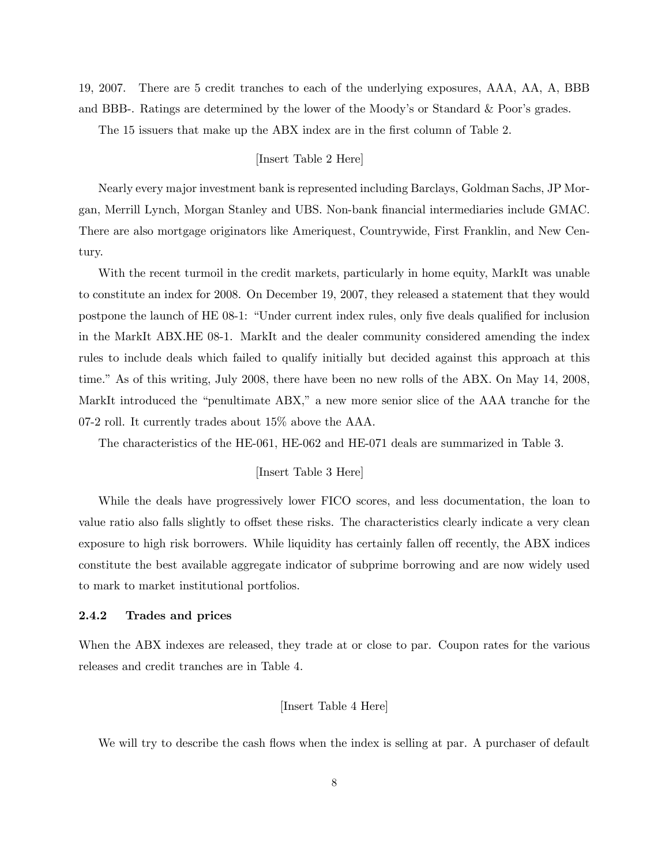19, 2007. There are 5 credit tranches to each of the underlying exposures, AAA, AA, A, BBB and BBB-. Ratings are determined by the lower of the Moody's or Standard & Poor's grades.

The 15 issuers that make up the ABX index are in the first column of Table 2.

#### [Insert Table 2 Here]

Nearly every major investment bank is represented including Barclays, Goldman Sachs, JP Morgan, Merrill Lynch, Morgan Stanley and UBS. Non-bank financial intermediaries include GMAC. There are also mortgage originators like Ameriquest, Countrywide, First Franklin, and New Century.

With the recent turmoil in the credit markets, particularly in home equity, MarkIt was unable to constitute an index for 2008. On December 19, 2007, they released a statement that they would postpone the launch of HE 08-1: "Under current index rules, only five deals qualified for inclusion in the MarkIt ABX.HE 08-1. MarkIt and the dealer community considered amending the index rules to include deals which failed to qualify initially but decided against this approach at this time." As of this writing, July 2008, there have been no new rolls of the ABX. On May 14, 2008, MarkIt introduced the "penultimate ABX," a new more senior slice of the AAA tranche for the 07-2 roll. It currently trades about 15% above the AAA.

The characteristics of the HE-061, HE-062 and HE-071 deals are summarized in Table 3.

#### [Insert Table 3 Here]

While the deals have progressively lower FICO scores, and less documentation, the loan to value ratio also falls slightly to offset these risks. The characteristics clearly indicate a very clean exposure to high risk borrowers. While liquidity has certainly fallen off recently, the ABX indices constitute the best available aggregate indicator of subprime borrowing and are now widely used to mark to market institutional portfolios.

#### 2.4.2 Trades and prices

When the ABX indexes are released, they trade at or close to par. Coupon rates for the various releases and credit tranches are in Table 4.

#### [Insert Table 4 Here]

We will try to describe the cash flows when the index is selling at par. A purchaser of default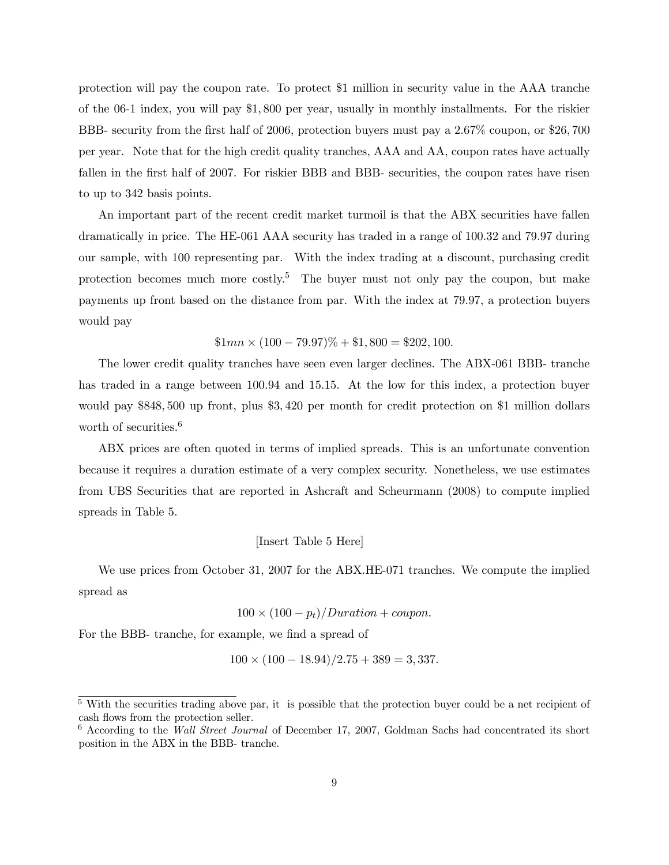protection will pay the coupon rate. To protect \$1 million in security value in the AAA tranche of the 06-1 index, you will pay \$1, 800 per year, usually in monthly installments. For the riskier BBB- security from the first half of 2006, protection buyers must pay a 2.67% coupon, or \$26, 700 per year. Note that for the high credit quality tranches, AAA and AA, coupon rates have actually fallen in the first half of 2007. For riskier BBB and BBB- securities, the coupon rates have risen to up to 342 basis points.

An important part of the recent credit market turmoil is that the ABX securities have fallen dramatically in price. The HE-061 AAA security has traded in a range of 100.32 and 79.97 during our sample, with 100 representing par. With the index trading at a discount, purchasing credit protection becomes much more costly.<sup>5</sup> The buyer must not only pay the coupon, but make payments up front based on the distance from par. With the index at 79.97, a protection buyers would pay

$$
$1mn \times (100 - 79.97)\% + $1,800 = $202,100.
$$

The lower credit quality tranches have seen even larger declines. The ABX-061 BBB- tranche has traded in a range between 100.94 and 15.15. At the low for this index, a protection buyer would pay \$848, 500 up front, plus \$3, 420 per month for credit protection on \$1 million dollars worth of securities.<sup>6</sup>

ABX prices are often quoted in terms of implied spreads. This is an unfortunate convention because it requires a duration estimate of a very complex security. Nonetheless, we use estimates from UBS Securities that are reported in Ashcraft and Scheurmann (2008) to compute implied spreads in Table 5.

#### [Insert Table 5 Here]

We use prices from October 31, 2007 for the ABX.HE-071 tranches. We compute the implied spread as

 $100 \times (100 - p_t)/Duration + coupon.$ 

For the BBB- tranche, for example, we find a spread of

$$
100 \times (100 - 18.94)/2.75 + 389 = 3,337.
$$

<sup>&</sup>lt;sup>5</sup> With the securities trading above par, it is possible that the protection buyer could be a net recipient of cash flows from the protection seller.

 $6$  According to the Wall Street Journal of December 17, 2007, Goldman Sachs had concentrated its short position in the ABX in the BBB- tranche.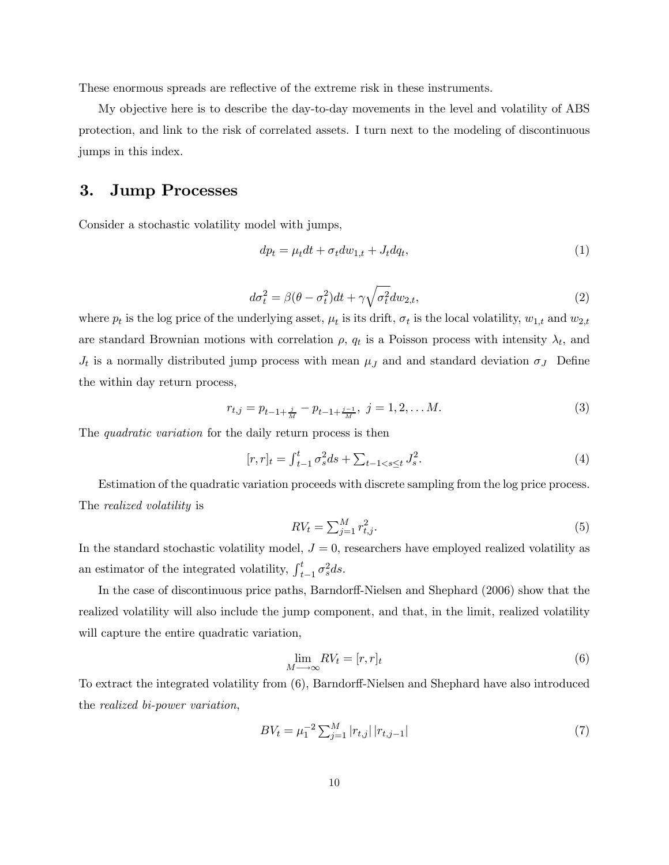These enormous spreads are reflective of the extreme risk in these instruments.

My objective here is to describe the day-to-day movements in the level and volatility of ABS protection, and link to the risk of correlated assets. I turn next to the modeling of discontinuous jumps in this index.

## 3. Jump Processes

Consider a stochastic volatility model with jumps,

$$
dp_t = \mu_t dt + \sigma_t dw_{1,t} + J_t dq_t, \qquad (1)
$$

$$
d\sigma_t^2 = \beta(\theta - \sigma_t^2)dt + \gamma \sqrt{\sigma_t^2} dw_{2,t},
$$
\n(2)

where  $p_t$  is the log price of the underlying asset,  $\mu_t$  is its drift,  $\sigma_t$  is the local volatility,  $w_{1,t}$  and  $w_{2,t}$ are standard Brownian motions with correlation  $\rho$ ,  $q_t$  is a Poisson process with intensity  $\lambda_t$ , and  $J_t$  is a normally distributed jump process with mean  $\mu_J$  and and standard deviation  $\sigma_J$  Define the within day return process,

$$
r_{t,j} = p_{t-1+\frac{j}{M}} - p_{t-1+\frac{j-1}{M}}, \ j = 1, 2, \dots M.
$$
 (3)

The *quadratic variation* for the daily return process is then

$$
[r,r]_t = \int_{t-1}^t \sigma_s^2 ds + \sum_{t-1 < s \le t} J_s^2. \tag{4}
$$

Estimation of the quadratic variation proceeds with discrete sampling from the log price process. The realized volatility is

$$
RV_t = \sum_{j=1}^{M} r_{t,j}^2.
$$
\n
$$
(5)
$$

In the standard stochastic volatility model,  $J = 0$ , researchers have employed realized volatility as an estimator of the integrated volatility,  $\int_t^t$  $_{t-1}^{t}\sigma_{s}^{2}ds.$ 

In the case of discontinuous price paths, Barndorff-Nielsen and Shephard (2006) show that the realized volatility will also include the jump component, and that, in the limit, realized volatility will capture the entire quadratic variation,

$$
\lim_{M \to \infty} RV_t = [r, r]_t \tag{6}
$$

To extract the integrated volatility from (6), Barndorff-Nielsen and Shephard have also introduced the realized bi-power variation,

$$
BV_t = \mu_1^{-2} \sum_{j=1}^{M} |r_{t,j}| |r_{t,j-1}| \tag{7}
$$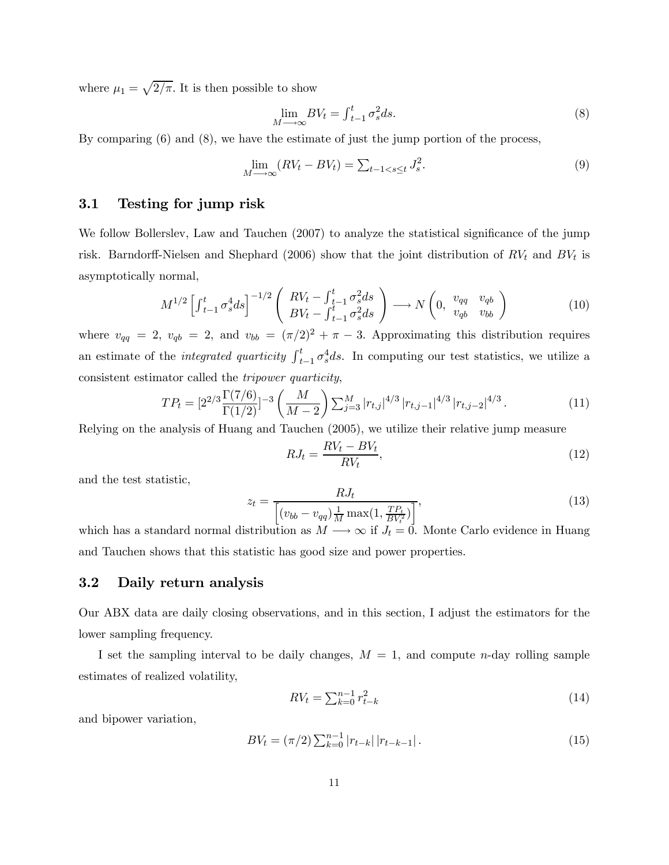where  $\mu_1 = \sqrt{2/\pi}$ . It is then possible to show

$$
\lim_{M \to \infty} BV_t = \int_{t-1}^t \sigma_s^2 ds.
$$
\n(8)

By comparing (6) and (8), we have the estimate of just the jump portion of the process,

$$
\lim_{M \to \infty} (RV_t - BV_t) = \sum_{t-1 < s \le t} J_s^2. \tag{9}
$$

### 3.1 Testing for jump risk

We follow Bollerslev, Law and Tauchen (2007) to analyze the statistical significance of the jump risk. Barndorff-Nielsen and Shephard (2006) show that the joint distribution of  $RV_t$  and  $BV_t$  is asymptotically normal,

$$
M^{1/2} \left[ \int_{t-1}^t \sigma_s^4 ds \right]^{-1/2} \left( \begin{array}{c} RV_t - \int_{t-1}^t \sigma_s^2 ds \\ BV_t - \int_{t-1}^t \sigma_s^2 ds \end{array} \right) \longrightarrow N \left( 0, \begin{array}{cc} v_{qq} & v_{qb} \\ v_{qb} & v_{bb} \end{array} \right) \tag{10}
$$

where  $v_{qq} = 2$ ,  $v_{qb} = 2$ , and  $v_{bb} = (\pi/2)^2 + \pi - 3$ . Approximating this distribution requires an estimate of the *integrated quarticity*  $\int_t^t$  $_{t-1}^{t} \sigma_s^4 ds$ . In computing our test statistics, we utilize a consistent estimator called the tripower quarticity,

$$
TP_{t} = [2^{2/3} \frac{\Gamma(7/6)}{\Gamma(1/2)}]^{-3} \left(\frac{M}{M-2}\right) \sum_{j=3}^{M} |r_{t,j}|^{4/3} |r_{t,j-1}|^{4/3} |r_{t,j-2}|^{4/3}.
$$
 (11)

Relying on the analysis of Huang and Tauchen (2005), we utilize their relative jump measure

$$
RJ_t = \frac{RV_t - BV_t}{RV_t},\tag{12}
$$

and the test statistic,

$$
z_t = \frac{R J_t}{\left[ (v_{bb} - v_{qq}) \frac{1}{M} \max(1, \frac{TP_t}{BY_t^2}) \right]},\tag{13}
$$

which has a standard normal distribution as  $M \longrightarrow \infty$  if  $J_t = 0$ . Monte Carlo evidence in Huang and Tauchen shows that this statistic has good size and power properties.

### 3.2 Daily return analysis

Our ABX data are daily closing observations, and in this section, I adjust the estimators for the lower sampling frequency.

I set the sampling interval to be daily changes,  $M = 1$ , and compute n-day rolling sample estimates of realized volatility,

$$
RV_t = \sum_{k=0}^{n-1} r_{t-k}^2
$$
\n(14)

and bipower variation,

$$
BV_t = (\pi/2) \sum_{k=0}^{n-1} |r_{t-k}| |r_{t-k-1}|.
$$
\n(15)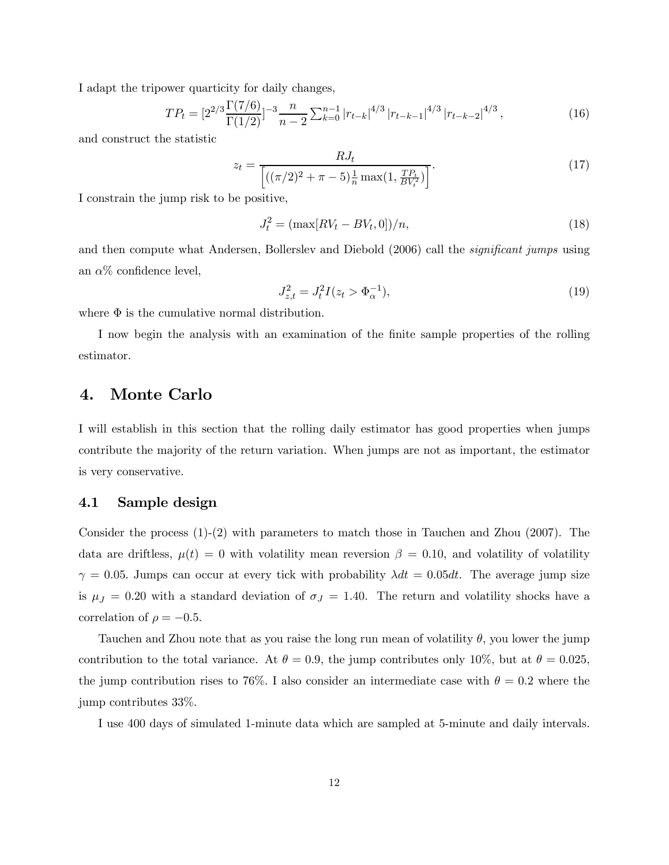I adapt the tripower quarticity for daily changes,

$$
TP_t = \left[2^{2/3} \frac{\Gamma(7/6)}{\Gamma(1/2)}\right]^{-3} \frac{n}{n-2} \sum_{k=0}^{n-1} \left| r_{t-k} \right|^{4/3} \left| r_{t-k-1} \right|^{4/3} \left| r_{t-k-2} \right|^{4/3},\tag{16}
$$

and construct the statistic

$$
z_t = \frac{R J_t}{\left[ ((\pi/2)^2 + \pi - 5) \frac{1}{n} \max(1, \frac{TP_t}{BV_t^2}) \right]}.
$$
\n(17)

I constrain the jump risk to be positive,

$$
J_t^2 = (\max[RV_t - BV_t, 0])/n,
$$
\n(18)

and then compute what Andersen, Bollerslev and Diebold (2006) call the *significant jumps* using an  $\alpha\%$  confidence level,

$$
J_{z,t}^2 = J_t^2 I(z_t > \Phi_\alpha^{-1}),
$$
\n(19)

where  $\Phi$  is the cumulative normal distribution.

I now begin the analysis with an examination of the finite sample properties of the rolling estimator.

### 4. Monte Carlo

I will establish in this section that the rolling daily estimator has good properties when jumps contribute the majority of the return variation. When jumps are not as important, the estimator is very conservative.

### 4.1 Sample design

Consider the process (1)-(2) with parameters to match those in Tauchen and Zhou (2007). The data are driftless,  $\mu(t) = 0$  with volatility mean reversion  $\beta = 0.10$ , and volatility of volatility  $\gamma = 0.05$ . Jumps can occur at every tick with probability  $\lambda dt = 0.05dt$ . The average jump size is  $\mu_J = 0.20$  with a standard deviation of  $\sigma_J = 1.40$ . The return and volatility shocks have a correlation of  $\rho = -0.5$ .

Tauchen and Zhou note that as you raise the long run mean of volatility  $\theta$ , you lower the jump contribution to the total variance. At  $\theta = 0.9$ , the jump contributes only 10%, but at  $\theta = 0.025$ , the jump contribution rises to 76%. I also consider an intermediate case with  $\theta = 0.2$  where the jump contributes 33%.

I use 400 days of simulated 1-minute data which are sampled at 5-minute and daily intervals.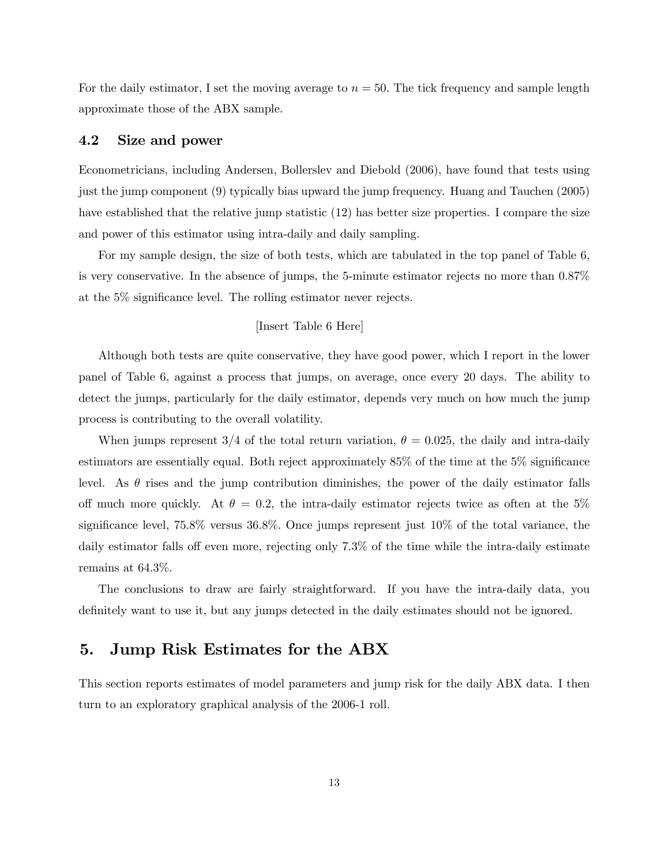For the daily estimator, I set the moving average to  $n = 50$ . The tick frequency and sample length approximate those of the ABX sample.

### 4.2 Size and power

Econometricians, including Andersen, Bollerslev and Diebold (2006), have found that tests using just the jump component (9) typically bias upward the jump frequency. Huang and Tauchen (2005) have established that the relative jump statistic (12) has better size properties. I compare the size and power of this estimator using intra-daily and daily sampling.

For my sample design, the size of both tests, which are tabulated in the top panel of Table 6, is very conservative. In the absence of jumps, the 5-minute estimator rejects no more than 0.87% at the 5% significance level. The rolling estimator never rejects.

### [Insert Table 6 Here]

Although both tests are quite conservative, they have good power, which I report in the lower panel of Table 6, against a process that jumps, on average, once every 20 days. The ability to detect the jumps, particularly for the daily estimator, depends very much on how much the jump process is contributing to the overall volatility.

When jumps represent 3/4 of the total return variation,  $\theta = 0.025$ , the daily and intra-daily estimators are essentially equal. Both reject approximately 85% of the time at the 5% significance level. As  $\theta$  rises and the jump contribution diminishes, the power of the daily estimator falls off much more quickly. At  $\theta = 0.2$ , the intra-daily estimator rejects twice as often at the 5% significance level, 75.8% versus 36.8%. Once jumps represent just 10% of the total variance, the daily estimator falls off even more, rejecting only 7.3% of the time while the intra-daily estimate remains at 64.3%.

The conclusions to draw are fairly straightforward. If you have the intra-daily data, you definitely want to use it, but any jumps detected in the daily estimates should not be ignored.

### 5. Jump Risk Estimates for the ABX

This section reports estimates of model parameters and jump risk for the daily ABX data. I then turn to an exploratory graphical analysis of the 2006-1 roll.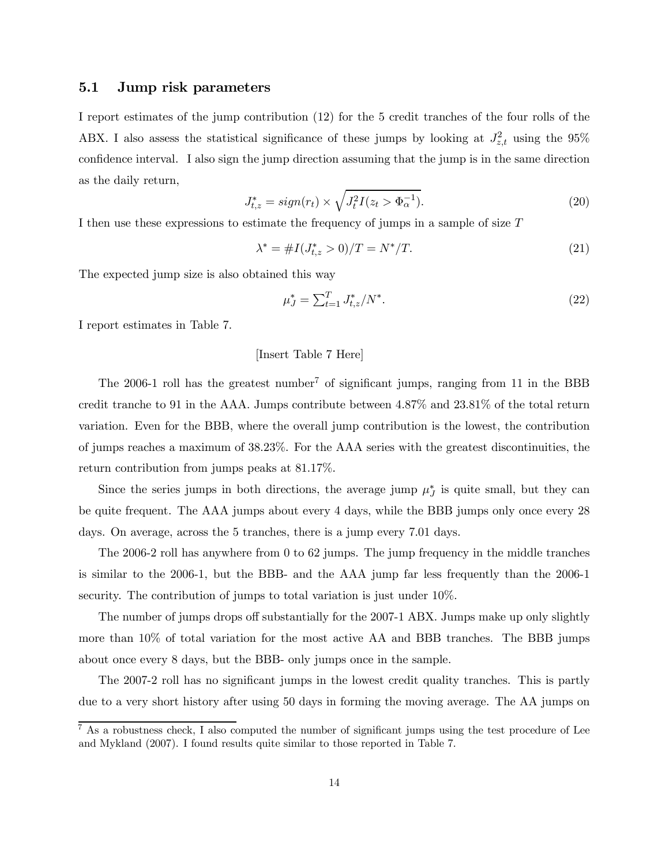### 5.1 Jump risk parameters

I report estimates of the jump contribution (12) for the 5 credit tranches of the four rolls of the ABX. I also assess the statistical significance of these jumps by looking at  $J_{z,t}^2$  using the 95% confidence interval. I also sign the jump direction assuming that the jump is in the same direction as the daily return,

$$
J_{t,z}^* = sign(r_t) \times \sqrt{J_t^2 I(z_t > \Phi_\alpha^{-1})}.
$$
\n(20)

I then use these expressions to estimate the frequency of jumps in a sample of size T

$$
\lambda^* = \#I(J^*_{t,z} > 0)/T = N^*/T.
$$
\n(21)

The expected jump size is also obtained this way

$$
\mu_J^* = \sum_{t=1}^T J_{t,z}^* / N^*.
$$
\n(22)

I report estimates in Table 7.

#### [Insert Table 7 Here]

The 2006-1 roll has the greatest number<sup>7</sup> of significant jumps, ranging from 11 in the BBB credit tranche to 91 in the AAA. Jumps contribute between 4.87% and 23.81% of the total return variation. Even for the BBB, where the overall jump contribution is the lowest, the contribution of jumps reaches a maximum of 38.23%. For the AAA series with the greatest discontinuities, the return contribution from jumps peaks at 81.17%.

Since the series jumps in both directions, the average jump  $\mu_J^*$  is quite small, but they can be quite frequent. The AAA jumps about every 4 days, while the BBB jumps only once every 28 days. On average, across the 5 tranches, there is a jump every 7.01 days.

The 2006-2 roll has anywhere from 0 to 62 jumps. The jump frequency in the middle tranches is similar to the 2006-1, but the BBB- and the AAA jump far less frequently than the 2006-1 security. The contribution of jumps to total variation is just under 10%.

The number of jumps drops off substantially for the 2007-1 ABX. Jumps make up only slightly more than 10% of total variation for the most active AA and BBB tranches. The BBB jumps about once every 8 days, but the BBB- only jumps once in the sample.

The 2007-2 roll has no significant jumps in the lowest credit quality tranches. This is partly due to a very short history after using 50 days in forming the moving average. The AA jumps on

 $^7$  As a robustness check, I also computed the number of significant jumps using the test procedure of Lee and Mykland (2007). I found results quite similar to those reported in Table 7.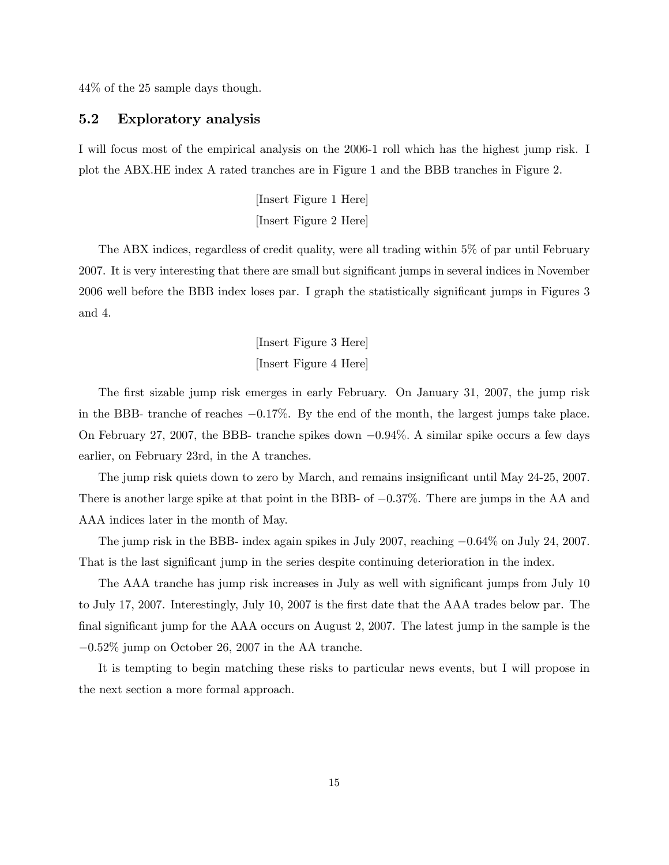44% of the 25 sample days though.

### 5.2 Exploratory analysis

I will focus most of the empirical analysis on the 2006-1 roll which has the highest jump risk. I plot the ABX.HE index A rated tranches are in Figure 1 and the BBB tranches in Figure 2.

> [Insert Figure 1 Here] [Insert Figure 2 Here]

The ABX indices, regardless of credit quality, were all trading within 5% of par until February 2007. It is very interesting that there are small but significant jumps in several indices in November 2006 well before the BBB index loses par. I graph the statistically significant jumps in Figures 3 and 4.

> [Insert Figure 3 Here] [Insert Figure 4 Here]

The first sizable jump risk emerges in early February. On January 31, 2007, the jump risk in the BBB- tranche of reaches −0.17%. By the end of the month, the largest jumps take place. On February 27, 2007, the BBB- tranche spikes down −0.94%. A similar spike occurs a few days earlier, on February 23rd, in the A tranches.

The jump risk quiets down to zero by March, and remains insignificant until May 24-25, 2007. There is another large spike at that point in the BBB- of  $-0.37\%$ . There are jumps in the AA and AAA indices later in the month of May.

The jump risk in the BBB- index again spikes in July 2007, reaching −0.64% on July 24, 2007. That is the last significant jump in the series despite continuing deterioration in the index.

The AAA tranche has jump risk increases in July as well with significant jumps from July 10 to July 17, 2007. Interestingly, July 10, 2007 is the first date that the AAA trades below par. The final significant jump for the AAA occurs on August 2, 2007. The latest jump in the sample is the −0.52% jump on October 26, 2007 in the AA tranche.

It is tempting to begin matching these risks to particular news events, but I will propose in the next section a more formal approach.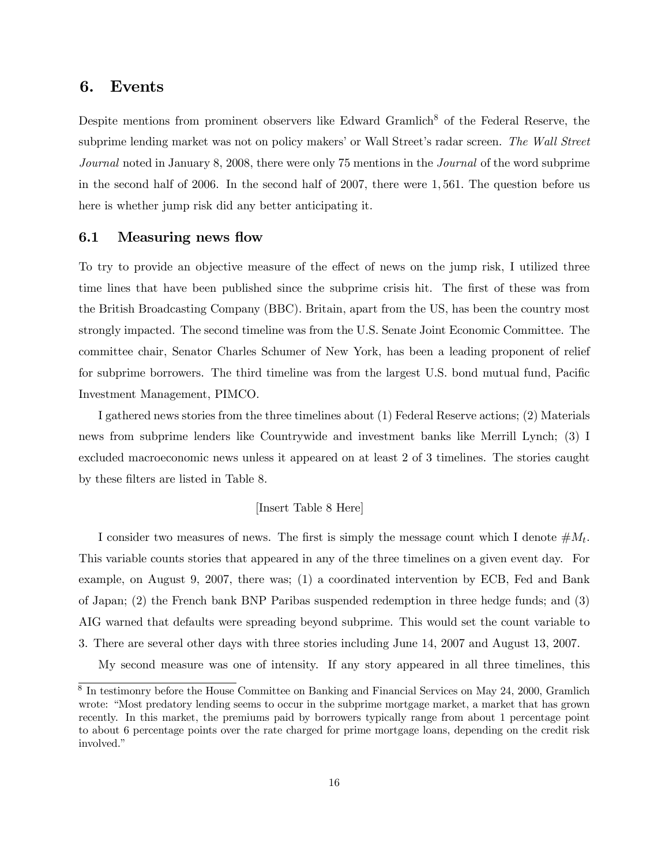### 6. Events

Despite mentions from prominent observers like Edward Gramlich<sup>8</sup> of the Federal Reserve, the subprime lending market was not on policy makers' or Wall Street's radar screen. The Wall Street Journal noted in January 8, 2008, there were only 75 mentions in the Journal of the word subprime in the second half of 2006. In the second half of 2007, there were 1, 561. The question before us here is whether jump risk did any better anticipating it.

### 6.1 Measuring news flow

To try to provide an objective measure of the effect of news on the jump risk, I utilized three time lines that have been published since the subprime crisis hit. The first of these was from the British Broadcasting Company (BBC). Britain, apart from the US, has been the country most strongly impacted. The second timeline was from the U.S. Senate Joint Economic Committee. The committee chair, Senator Charles Schumer of New York, has been a leading proponent of relief for subprime borrowers. The third timeline was from the largest U.S. bond mutual fund, Pacific Investment Management, PIMCO.

I gathered news stories from the three timelines about (1) Federal Reserve actions; (2) Materials news from subprime lenders like Countrywide and investment banks like Merrill Lynch; (3) I excluded macroeconomic news unless it appeared on at least 2 of 3 timelines. The stories caught by these filters are listed in Table 8.

#### [Insert Table 8 Here]

I consider two measures of news. The first is simply the message count which I denote  $\#M_t$ . This variable counts stories that appeared in any of the three timelines on a given event day. For example, on August 9, 2007, there was; (1) a coordinated intervention by ECB, Fed and Bank of Japan; (2) the French bank BNP Paribas suspended redemption in three hedge funds; and (3) AIG warned that defaults were spreading beyond subprime. This would set the count variable to 3. There are several other days with three stories including June 14, 2007 and August 13, 2007.

My second measure was one of intensity. If any story appeared in all three timelines, this

<sup>&</sup>lt;sup>8</sup> In testimonry before the House Committee on Banking and Financial Services on May 24, 2000, Gramlich wrote: "Most predatory lending seems to occur in the subprime mortgage market, a market that has grown recently. In this market, the premiums paid by borrowers typically range from about 1 percentage point to about 6 percentage points over the rate charged for prime mortgage loans, depending on the credit risk involved."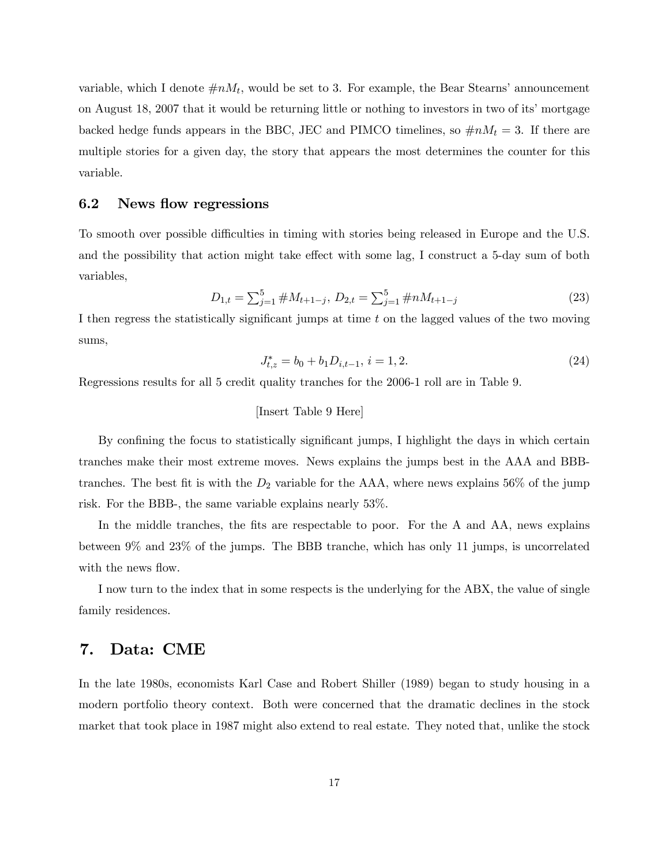variable, which I denote  $\#nM_t$ , would be set to 3. For example, the Bear Stearns' announcement on August 18, 2007 that it would be returning little or nothing to investors in two of its' mortgage backed hedge funds appears in the BBC, JEC and PIMCO timelines, so  $\#nM_t = 3$ . If there are multiple stories for a given day, the story that appears the most determines the counter for this variable.

### 6.2 News flow regressions

To smooth over possible difficulties in timing with stories being released in Europe and the U.S. and the possibility that action might take effect with some lag, I construct a 5-day sum of both variables,

$$
D_{1,t} = \sum_{j=1}^{5} \#M_{t+1-j}, \ D_{2,t} = \sum_{j=1}^{5} \#nM_{t+1-j}
$$
 (23)

I then regress the statistically significant jumps at time t on the lagged values of the two moving sums,

$$
J_{t,z}^* = b_0 + b_1 D_{i,t-1}, i = 1,2.
$$
\n<sup>(24)</sup>

Regressions results for all 5 credit quality tranches for the 2006-1 roll are in Table 9.

#### [Insert Table 9 Here]

By confining the focus to statistically significant jumps, I highlight the days in which certain tranches make their most extreme moves. News explains the jumps best in the AAA and BBBtranches. The best fit is with the  $D_2$  variable for the AAA, where news explains 56% of the jump risk. For the BBB-, the same variable explains nearly 53%.

In the middle tranches, the fits are respectable to poor. For the A and AA, news explains between 9% and 23% of the jumps. The BBB tranche, which has only 11 jumps, is uncorrelated with the news flow.

I now turn to the index that in some respects is the underlying for the ABX, the value of single family residences.

### 7. Data: CME

In the late 1980s, economists Karl Case and Robert Shiller (1989) began to study housing in a modern portfolio theory context. Both were concerned that the dramatic declines in the stock market that took place in 1987 might also extend to real estate. They noted that, unlike the stock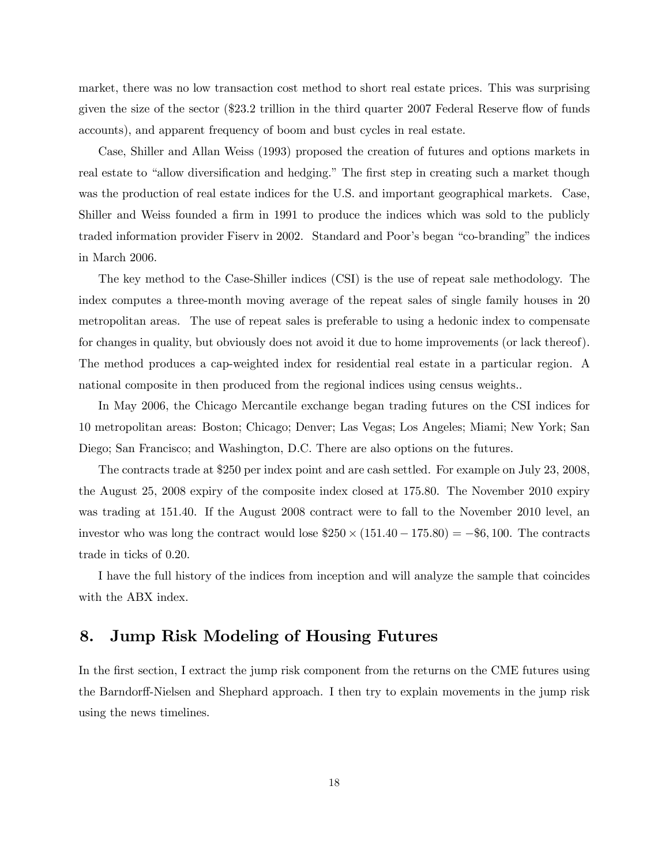market, there was no low transaction cost method to short real estate prices. This was surprising given the size of the sector (\$23.2 trillion in the third quarter 2007 Federal Reserve flow of funds accounts), and apparent frequency of boom and bust cycles in real estate.

Case, Shiller and Allan Weiss (1993) proposed the creation of futures and options markets in real estate to "allow diversification and hedging." The first step in creating such a market though was the production of real estate indices for the U.S. and important geographical markets. Case, Shiller and Weiss founded a firm in 1991 to produce the indices which was sold to the publicly traded information provider Fiserv in 2002. Standard and Poor's began "co-branding" the indices in March 2006.

The key method to the Case-Shiller indices (CSI) is the use of repeat sale methodology. The index computes a three-month moving average of the repeat sales of single family houses in 20 metropolitan areas. The use of repeat sales is preferable to using a hedonic index to compensate for changes in quality, but obviously does not avoid it due to home improvements (or lack thereof). The method produces a cap-weighted index for residential real estate in a particular region. A national composite in then produced from the regional indices using census weights..

In May 2006, the Chicago Mercantile exchange began trading futures on the CSI indices for 10 metropolitan areas: Boston; Chicago; Denver; Las Vegas; Los Angeles; Miami; New York; San Diego; San Francisco; and Washington, D.C. There are also options on the futures.

The contracts trade at \$250 per index point and are cash settled. For example on July 23, 2008, the August 25, 2008 expiry of the composite index closed at 175.80. The November 2010 expiry was trading at 151.40. If the August 2008 contract were to fall to the November 2010 level, an investor who was long the contract would lose  $$250 \times (151.40 - 175.80) = -$6,100$ . The contracts trade in ticks of 0.20.

I have the full history of the indices from inception and will analyze the sample that coincides with the ABX index.

## 8. Jump Risk Modeling of Housing Futures

In the first section, I extract the jump risk component from the returns on the CME futures using the Barndorff-Nielsen and Shephard approach. I then try to explain movements in the jump risk using the news timelines.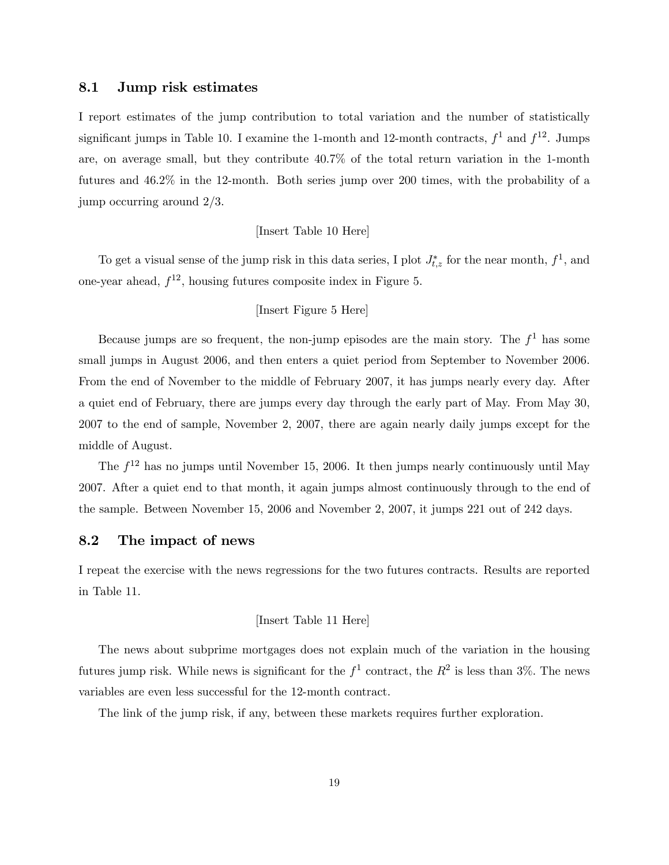### 8.1 Jump risk estimates

I report estimates of the jump contribution to total variation and the number of statistically significant jumps in Table 10. I examine the 1-month and 12-month contracts,  $f^1$  and  $f^{12}$ . Jumps are, on average small, but they contribute 40.7% of the total return variation in the 1-month futures and 46.2% in the 12-month. Both series jump over 200 times, with the probability of a jump occurring around 2/3.

#### [Insert Table 10 Here]

To get a visual sense of the jump risk in this data series, I plot  $J_{t,z}^*$  for the near month,  $f^1$ , and one-year ahead,  $f^{12}$ , housing futures composite index in Figure 5.

#### [Insert Figure 5 Here]

Because jumps are so frequent, the non-jump episodes are the main story. The  $f<sup>1</sup>$  has some small jumps in August 2006, and then enters a quiet period from September to November 2006. From the end of November to the middle of February 2007, it has jumps nearly every day. After a quiet end of February, there are jumps every day through the early part of May. From May 30, 2007 to the end of sample, November 2, 2007, there are again nearly daily jumps except for the middle of August.

The  $f^{12}$  has no jumps until November 15, 2006. It then jumps nearly continuously until May 2007. After a quiet end to that month, it again jumps almost continuously through to the end of the sample. Between November 15, 2006 and November 2, 2007, it jumps 221 out of 242 days.

### 8.2 The impact of news

I repeat the exercise with the news regressions for the two futures contracts. Results are reported in Table 11.

#### [Insert Table 11 Here]

The news about subprime mortgages does not explain much of the variation in the housing futures jump risk. While news is significant for the  $f^1$  contract, the  $R^2$  is less than 3%. The news variables are even less successful for the 12-month contract.

The link of the jump risk, if any, between these markets requires further exploration.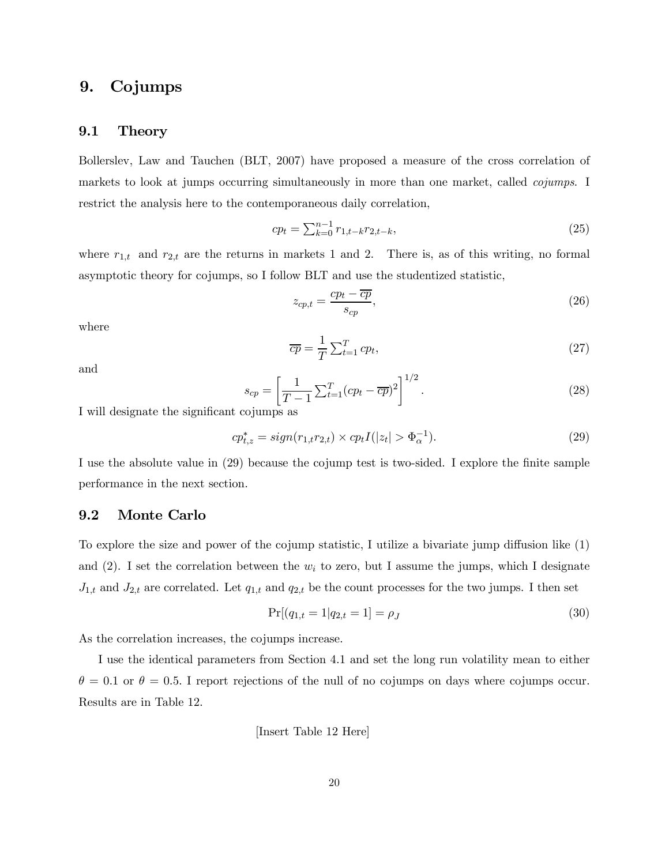## 9. Cojumps

### 9.1 Theory

Bollerslev, Law and Tauchen (BLT, 2007) have proposed a measure of the cross correlation of markets to look at jumps occurring simultaneously in more than one market, called *cojumps*. I restrict the analysis here to the contemporaneous daily correlation,

$$
cp_t = \sum_{k=0}^{n-1} r_{1,t-k} r_{2,t-k},
$$
\n(25)

where  $r_{1,t}$  and  $r_{2,t}$  are the returns in markets 1 and 2. There is, as of this writing, no formal asymptotic theory for cojumps, so I follow BLT and use the studentized statistic,

$$
z_{cp,t} = \frac{cp_t - \overline{cp}}{s_{cp}},\tag{26}
$$

where

$$
\overline{cp} = \frac{1}{T} \sum_{t=1}^{T} cp_t,
$$
\n(27)

and

$$
s_{cp} = \left[\frac{1}{T-1} \sum_{t=1}^{T} (cp_t - \overline{cp})^2\right]^{1/2}.
$$
 (28)

I will designate the significant cojumps as

$$
cp_{t,z}^* = sign(r_{1,t}r_{2,t}) \times cp_t I(|z_t| > \Phi_{\alpha}^{-1}).
$$
\n(29)

I use the absolute value in (29) because the cojump test is two-sided. I explore the finite sample performance in the next section.

### 9.2 Monte Carlo

To explore the size and power of the cojump statistic, I utilize a bivariate jump diffusion like (1) and (2). I set the correlation between the  $w_i$  to zero, but I assume the jumps, which I designate  $J_{1,t}$  and  $J_{2,t}$  are correlated. Let  $q_{1,t}$  and  $q_{2,t}$  be the count processes for the two jumps. I then set

$$
Pr[(q_{1,t} = 1 | q_{2,t} = 1] = \rho_J \tag{30}
$$

As the correlation increases, the cojumps increase.

I use the identical parameters from Section 4.1 and set the long run volatility mean to either  $\theta = 0.1$  or  $\theta = 0.5$ . I report rejections of the null of no cojumps on days where cojumps occur. Results are in Table 12.

[Insert Table 12 Here]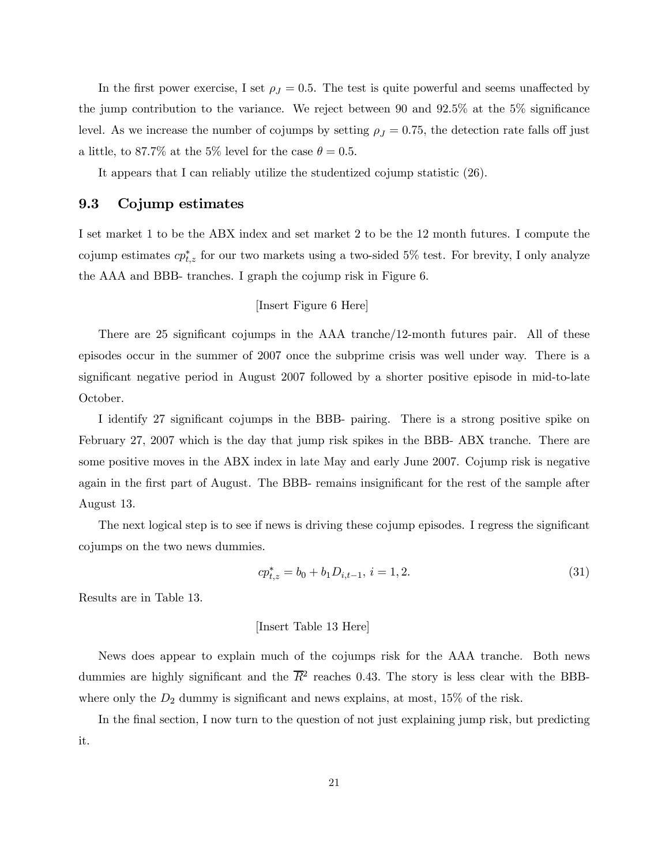In the first power exercise, I set  $\rho_J = 0.5$ . The test is quite powerful and seems unaffected by the jump contribution to the variance. We reject between 90 and 92.5% at the 5% significance level. As we increase the number of cojumps by setting  $\rho_J = 0.75$ , the detection rate falls off just a little, to 87.7% at the 5% level for the case  $\theta = 0.5$ .

It appears that I can reliably utilize the studentized cojump statistic (26).

### 9.3 Cojump estimates

I set market 1 to be the ABX index and set market 2 to be the 12 month futures. I compute the cojump estimates  $cp_{t,z}^*$  for our two markets using a two-sided 5% test. For brevity, I only analyze the AAA and BBB- tranches. I graph the cojump risk in Figure 6.

### [Insert Figure 6 Here]

There are 25 significant cojumps in the AAA tranche/12-month futures pair. All of these episodes occur in the summer of 2007 once the subprime crisis was well under way. There is a significant negative period in August 2007 followed by a shorter positive episode in mid-to-late October.

I identify 27 significant cojumps in the BBB- pairing. There is a strong positive spike on February 27, 2007 which is the day that jump risk spikes in the BBB- ABX tranche. There are some positive moves in the ABX index in late May and early June 2007. Cojump risk is negative again in the first part of August. The BBB- remains insignificant for the rest of the sample after August 13.

The next logical step is to see if news is driving these cojump episodes. I regress the significant cojumps on the two news dummies.

$$
cp_{t,z}^* = b_0 + b_1 D_{i,t-1}, i = 1,2.
$$
\n(31)

Results are in Table 13.

#### [Insert Table 13 Here]

News does appear to explain much of the cojumps risk for the AAA tranche. Both news dummies are highly significant and the  $\overline{R}^2$  reaches 0.43. The story is less clear with the BBBwhere only the  $D_2$  dummy is significant and news explains, at most, 15% of the risk.

In the final section, I now turn to the question of not just explaining jump risk, but predicting it.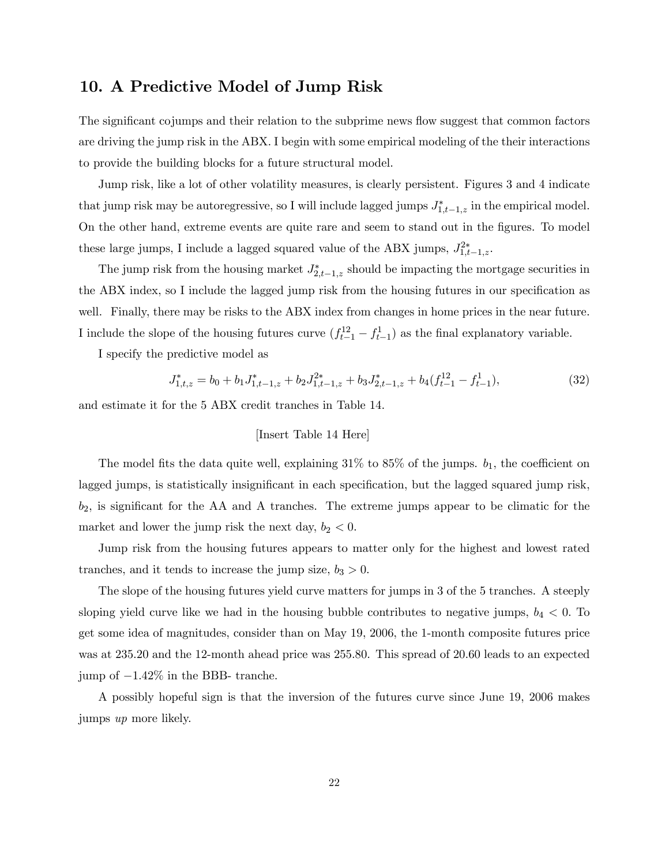## 10. A Predictive Model of Jump Risk

The significant cojumps and their relation to the subprime news flow suggest that common factors are driving the jump risk in the ABX. I begin with some empirical modeling of the their interactions to provide the building blocks for a future structural model.

Jump risk, like a lot of other volatility measures, is clearly persistent. Figures 3 and 4 indicate that jump risk may be autoregressive, so I will include lagged jumps  $J_{1,t-1,z}^*$  in the empirical model. On the other hand, extreme events are quite rare and seem to stand out in the figures. To model these large jumps, I include a lagged squared value of the ABX jumps,  $J_{1,t-1,z}^{2*}$ .

The jump risk from the housing market  $J_{2,t-1,z}^*$  should be impacting the mortgage securities in the ABX index, so I include the lagged jump risk from the housing futures in our specification as well. Finally, there may be risks to the ABX index from changes in home prices in the near future. I include the slope of the housing futures curve  $(f_{t-1}^{12} - f_{t-1}^{1})$  as the final explanatory variable.

I specify the predictive model as

$$
J_{1,t,z}^* = b_0 + b_1 J_{1,t-1,z}^* + b_2 J_{1,t-1,z}^{2*} + b_3 J_{2,t-1,z}^* + b_4 (f_{t-1}^{12} - f_{t-1}^1),
$$
\n(32)

and estimate it for the 5 ABX credit tranches in Table 14.

### [Insert Table 14 Here]

The model fits the data quite well, explaining  $31\%$  to  $85\%$  of the jumps.  $b_1$ , the coefficient on lagged jumps, is statistically insignificant in each specification, but the lagged squared jump risk,  $b_2$ , is significant for the AA and A tranches. The extreme jumps appear to be climatic for the market and lower the jump risk the next day,  $b_2 < 0$ .

Jump risk from the housing futures appears to matter only for the highest and lowest rated tranches, and it tends to increase the jump size,  $b_3 > 0$ .

The slope of the housing futures yield curve matters for jumps in 3 of the 5 tranches. A steeply sloping yield curve like we had in the housing bubble contributes to negative jumps,  $b_4 < 0$ . To get some idea of magnitudes, consider than on May 19, 2006, the 1-month composite futures price was at 235.20 and the 12-month ahead price was 255.80. This spread of 20.60 leads to an expected jump of −1.42% in the BBB- tranche.

A possibly hopeful sign is that the inversion of the futures curve since June 19, 2006 makes jumps up more likely.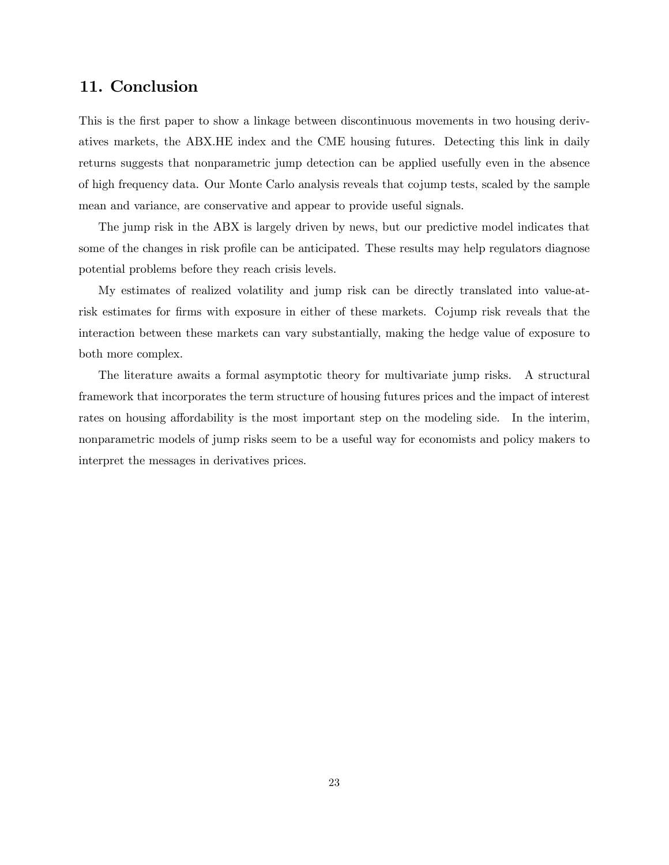## 11. Conclusion

This is the first paper to show a linkage between discontinuous movements in two housing derivatives markets, the ABX.HE index and the CME housing futures. Detecting this link in daily returns suggests that nonparametric jump detection can be applied usefully even in the absence of high frequency data. Our Monte Carlo analysis reveals that cojump tests, scaled by the sample mean and variance, are conservative and appear to provide useful signals.

The jump risk in the ABX is largely driven by news, but our predictive model indicates that some of the changes in risk profile can be anticipated. These results may help regulators diagnose potential problems before they reach crisis levels.

My estimates of realized volatility and jump risk can be directly translated into value-atrisk estimates for firms with exposure in either of these markets. Cojump risk reveals that the interaction between these markets can vary substantially, making the hedge value of exposure to both more complex.

The literature awaits a formal asymptotic theory for multivariate jump risks. A structural framework that incorporates the term structure of housing futures prices and the impact of interest rates on housing affordability is the most important step on the modeling side. In the interim, nonparametric models of jump risks seem to be a useful way for economists and policy makers to interpret the messages in derivatives prices.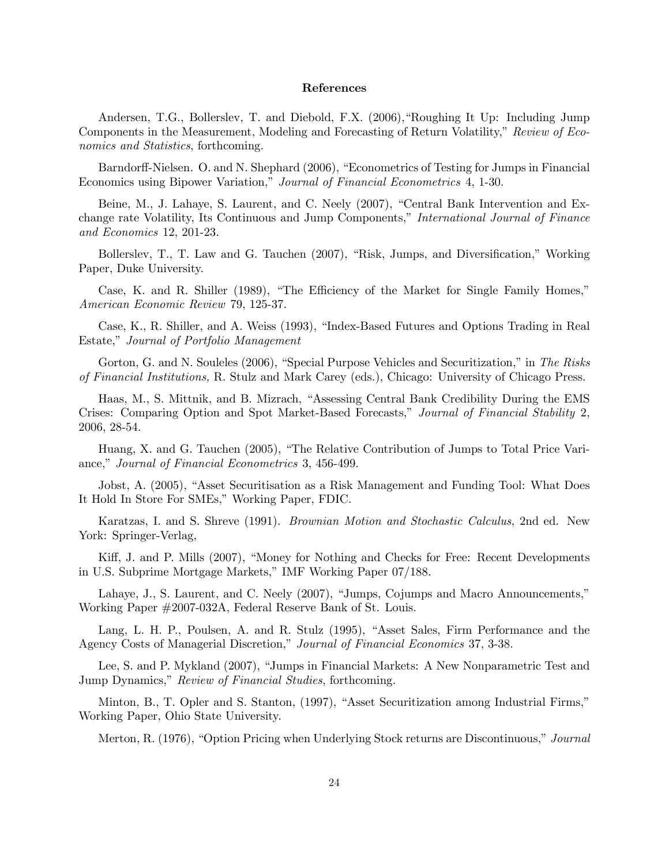#### References

Andersen, T.G., Bollerslev, T. and Diebold, F.X. (2006),"Roughing It Up: Including Jump Components in the Measurement, Modeling and Forecasting of Return Volatility," Review of Economics and Statistics, forthcoming.

Barndorff-Nielsen. O. and N. Shephard (2006), "Econometrics of Testing for Jumps in Financial Economics using Bipower Variation," Journal of Financial Econometrics 4, 1-30.

Beine, M., J. Lahaye, S. Laurent, and C. Neely (2007), "Central Bank Intervention and Exchange rate Volatility, Its Continuous and Jump Components," International Journal of Finance and Economics 12, 201-23.

Bollerslev, T., T. Law and G. Tauchen (2007), "Risk, Jumps, and Diversification," Working Paper, Duke University.

Case, K. and R. Shiller (1989), "The Efficiency of the Market for Single Family Homes," American Economic Review 79, 125-37.

Case, K., R. Shiller, and A. Weiss (1993), "Index-Based Futures and Options Trading in Real Estate," Journal of Portfolio Management

Gorton, G. and N. Souleles (2006), "Special Purpose Vehicles and Securitization," in The Risks of Financial Institutions, R. Stulz and Mark Carey (eds.), Chicago: University of Chicago Press.

Haas, M., S. Mittnik, and B. Mizrach, "Assessing Central Bank Credibility During the EMS Crises: Comparing Option and Spot Market-Based Forecasts," Journal of Financial Stability 2, 2006, 28-54.

Huang, X. and G. Tauchen (2005), "The Relative Contribution of Jumps to Total Price Variance," Journal of Financial Econometrics 3, 456-499.

Jobst, A. (2005), "Asset Securitisation as a Risk Management and Funding Tool: What Does It Hold In Store For SMEs," Working Paper, FDIC.

Karatzas, I. and S. Shreve (1991). Brownian Motion and Stochastic Calculus, 2nd ed. New York: Springer-Verlag,

Kiff, J. and P. Mills (2007), "Money for Nothing and Checks for Free: Recent Developments in U.S. Subprime Mortgage Markets," IMF Working Paper 07/188.

Lahaye, J., S. Laurent, and C. Neely (2007), "Jumps, Cojumps and Macro Announcements," Working Paper #2007-032A, Federal Reserve Bank of St. Louis.

Lang, L. H. P., Poulsen, A. and R. Stulz (1995), "Asset Sales, Firm Performance and the Agency Costs of Managerial Discretion," Journal of Financial Economics 37, 3-38.

Lee, S. and P. Mykland (2007), "Jumps in Financial Markets: A New Nonparametric Test and Jump Dynamics," Review of Financial Studies, forthcoming.

Minton, B., T. Opler and S. Stanton, (1997), "Asset Securitization among Industrial Firms," Working Paper, Ohio State University.

Merton, R. (1976), "Option Pricing when Underlying Stock returns are Discontinuous," Journal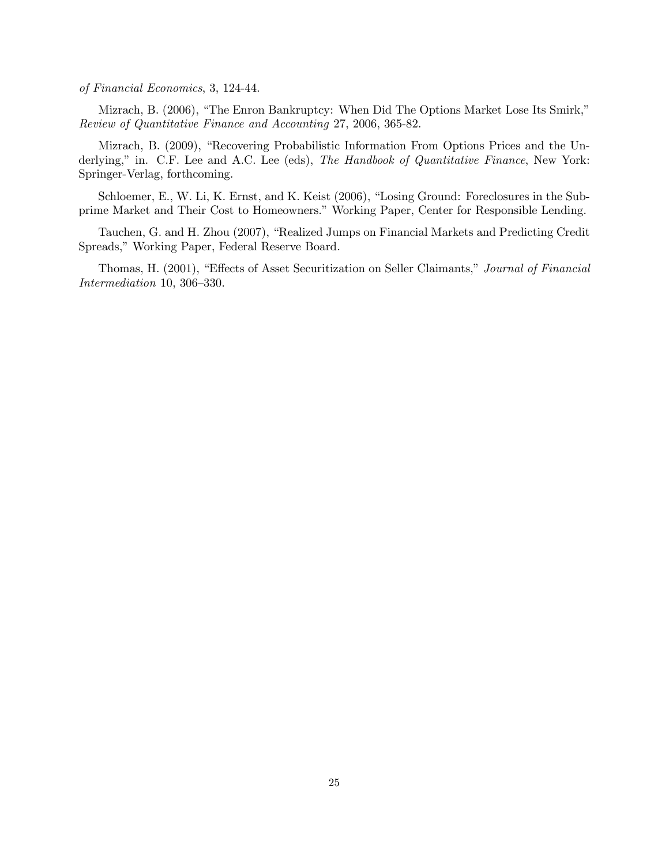of Financial Economics, 3, 124-44.

Mizrach, B. (2006), "The Enron Bankruptcy: When Did The Options Market Lose Its Smirk," Review of Quantitative Finance and Accounting 27, 2006, 365-82.

Mizrach, B. (2009), "Recovering Probabilistic Information From Options Prices and the Underlying," in. C.F. Lee and A.C. Lee (eds), The Handbook of Quantitative Finance, New York: Springer-Verlag, forthcoming.

Schloemer, E., W. Li, K. Ernst, and K. Keist (2006), "Losing Ground: Foreclosures in the Subprime Market and Their Cost to Homeowners." Working Paper, Center for Responsible Lending.

Tauchen, G. and H. Zhou (2007), "Realized Jumps on Financial Markets and Predicting Credit Spreads," Working Paper, Federal Reserve Board.

Thomas, H. (2001), "Effects of Asset Securitization on Seller Claimants," Journal of Financial Intermediation 10, 306—330.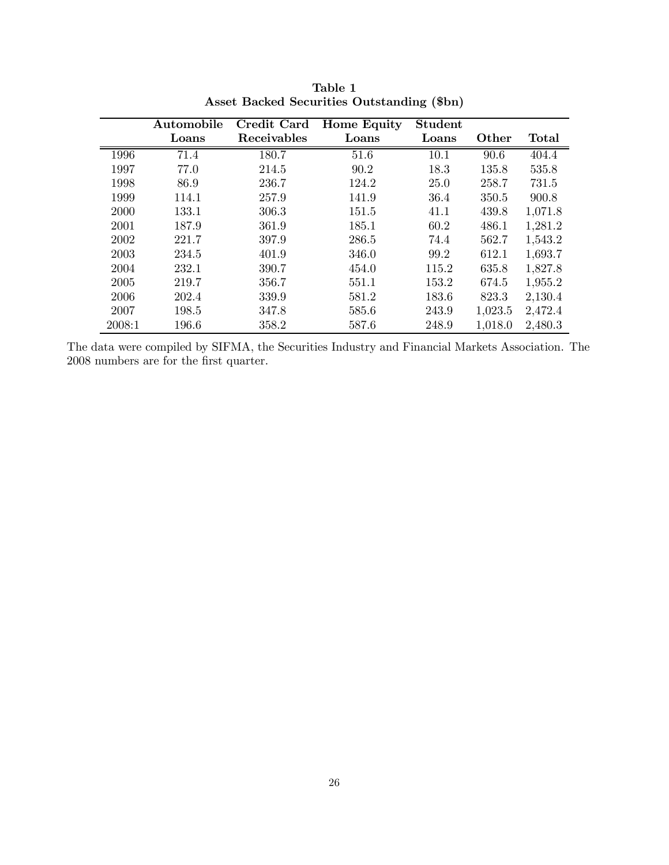|             | Automobile | Credit Card | <b>Home Equity</b> | <b>Student</b> |         |              |
|-------------|------------|-------------|--------------------|----------------|---------|--------------|
|             | Loans      | Receivables | Loans              | Loans          | Other   | <b>Total</b> |
| 1996        | 71.4       | 180.7       | 51.6               | 10.1           | 90.6    | 404.4        |
| 1997        | 77.0       | 214.5       | 90.2               | 18.3           | 135.8   | 535.8        |
| 1998        | 86.9       | 236.7       | 124.2              | <b>25.0</b>    | 258.7   | 731.5        |
| 1999        | 114.1      | 257.9       | 141.9              | 36.4           | 350.5   | 900.8        |
| <b>2000</b> | 133.1      | 306.3       | 151.5              | 41.1           | 439.8   | 1,071.8      |
| 2001        | 187.9      | 361.9       | 185.1              | 60.2           | 486.1   | 1,281.2      |
| 2002        | 221.7      | 397.9       | 286.5              | 74.4           | 562.7   | 1,543.2      |
| 2003        | 234.5      | 401.9       | 346.0              | 99.2           | 612.1   | 1,693.7      |
| 2004        | 232.1      | 390.7       | 454.0              | 115.2          | 635.8   | 1,827.8      |
| 2005        | 219.7      | 356.7       | 551.1              | 153.2          | 674.5   | 1,955.2      |
| 2006        | 202.4      | 339.9       | 581.2              | 183.6          | 823.3   | 2,130.4      |
| 2007        | 198.5      | 347.8       | 585.6              | 243.9          | 1,023.5 | 2,472.4      |
| 2008:1      | 196.6      | 358.2       | 587.6              | 248.9          | 1,018.0 | 2,480.3      |

Table 1 Asset Backed Securities Outstanding (\$bn)

The data were compiled by SIFMA, the Securities Industry and Financial Markets Association. The 2008 numbers are for the first quarter.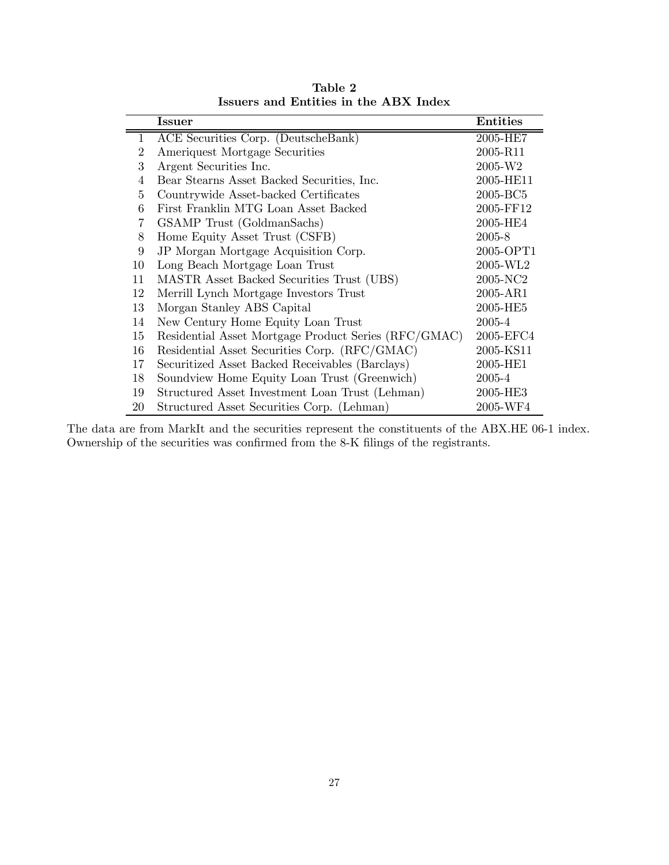|                | <b>Issuer</b>                                        | <b>Entities</b> |
|----------------|------------------------------------------------------|-----------------|
| $\mathbf{1}$   | ACE Securities Corp. (DeutscheBank)                  | 2005-HE7        |
| $\overline{2}$ | Ameriquest Mortgage Securities                       | 2005-R11        |
| 3              | Argent Securities Inc.                               | 2005-W2         |
| 4              | Bear Stearns Asset Backed Securities, Inc.           | 2005-HE11       |
| 5              | Countrywide Asset-backed Certificates                | 2005-BC5        |
| 6              | First Franklin MTG Loan Asset Backed                 | 2005-FF12       |
| 7              | GSAMP Trust (GoldmanSachs)                           | 2005-HE4        |
| 8              | Home Equity Asset Trust (CSFB)                       | 2005-8          |
| 9              | JP Morgan Mortgage Acquisition Corp.                 | 2005-OPT1       |
| 10             | Long Beach Mortgage Loan Trust                       | 2005-WL2        |
| 11             | MASTR Asset Backed Securities Trust (UBS)            | 2005-NC2        |
| 12             | Merrill Lynch Mortgage Investors Trust               | 2005-AR1        |
| 13             | Morgan Stanley ABS Capital                           | 2005-HE5        |
| 14             | New Century Home Equity Loan Trust                   | 2005-4          |
| 15             | Residential Asset Mortgage Product Series (RFC/GMAC) | 2005-EFC4       |
| 16             | Residential Asset Securities Corp. (RFC/GMAC)        | 2005-KS11       |
| 17             | Securitized Asset Backed Receivables (Barclays)      | 2005-HE1        |
| 18             | Soundview Home Equity Loan Trust (Greenwich)         | 2005-4          |
| 19             | Structured Asset Investment Loan Trust (Lehman)      | 2005-HE3        |
| 20             | Structured Asset Securities Corp. (Lehman)           | 2005-WF4        |

Table 2 Issuers and Entities in the ABX Index

The data are from MarkIt and the securities represent the constituents of the ABX.HE 06-1 index. Ownership of the securities was confirmed from the 8-K filings of the registrants.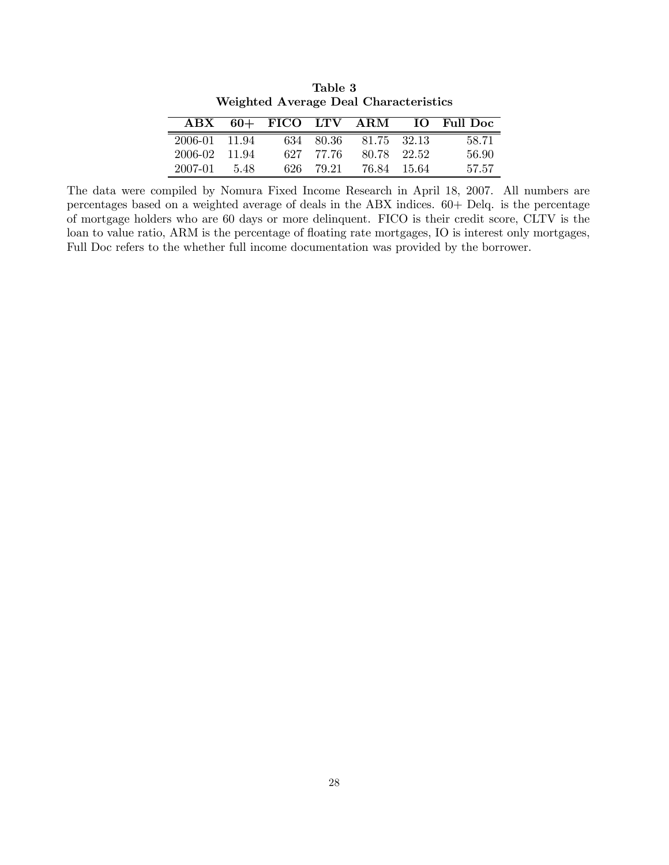|               |     | ABX 60+ FICO LTV ARM |           |             | <b>IO</b> Full Doc |
|---------------|-----|----------------------|-----------|-------------|--------------------|
| 2006-01 11.94 |     |                      | 634 80.36 | 81.75 32.13 | 58.71              |
| 2006-02 11.94 |     |                      | 627 77.76 | 80.78 22.52 | 56.90              |
| 2007-01       | 548 | 626-                 | 79.21     | 76.84 15.64 | 57.57              |

Table 3 Weighted Average Deal Characteristics

The data were compiled by Nomura Fixed Income Research in April 18, 2007. All numbers are percentages based on a weighted average of deals in the ABX indices. 60+ Delq. is the percentage of mortgage holders who are 60 days or more delinquent. FICO is their credit score, CLTV is the loan to value ratio, ARM is the percentage of floating rate mortgages, IO is interest only mortgages, Full Doc refers to the whether full income documentation was provided by the borrower.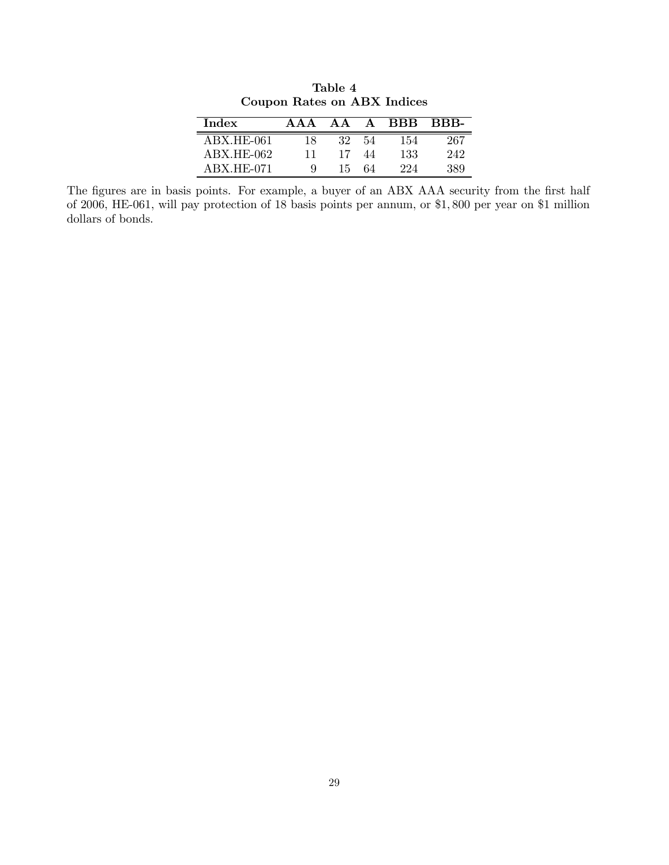| <b>Index</b> | A A A | AΑ | A  | <b>BBB</b> | <b>BBB-</b> |
|--------------|-------|----|----|------------|-------------|
| ABX.HE-061   | 18    | 32 | 54 | 154        | 267         |
| ABX.HE-062   |       |    | 44 | 133        | 242         |
| $ABX.HE-071$ |       | 15 | 64 | 994        | 389         |

Table 4 Coupon Rates on ABX Indices

The figures are in basis points. For example, a buyer of an ABX AAA security from the first half of 2006, HE-061, will pay protection of 18 basis points per annum, or \$1, 800 per year on \$1 million dollars of bonds.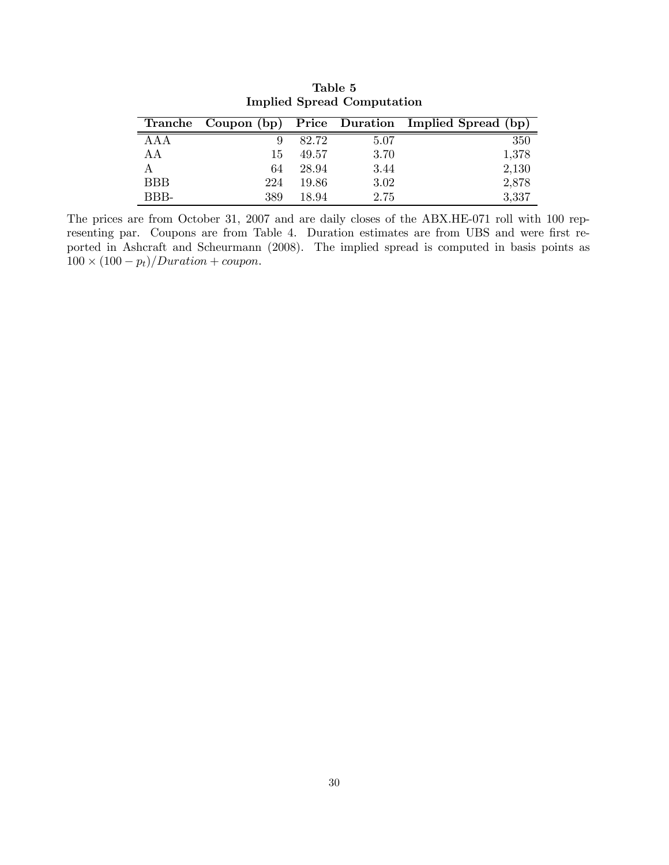|            |     |       |      | Tranche Coupon (bp) Price Duration Implied Spread (bp) |
|------------|-----|-------|------|--------------------------------------------------------|
| AAA        |     | 82.72 | 5.07 | 350                                                    |
| AA         | 15  | 49.57 | 3.70 | 1,378                                                  |
| А          | 64  | 28.94 | 3.44 | 2,130                                                  |
| <b>BBB</b> | 224 | 19.86 | 3.02 | 2,878                                                  |
| BBB-       | 389 | 18.94 | 2.75 | 3,337                                                  |

Table 5 Implied Spread Computation

The prices are from October 31, 2007 and are daily closes of the ABX.HE-071 roll with 100 representing par. Coupons are from Table 4. Duration estimates are from UBS and were first reported in Ashcraft and Scheurmann (2008). The implied spread is computed in basis points as  $100 \times (100 - p_t)/Duration + coupon.$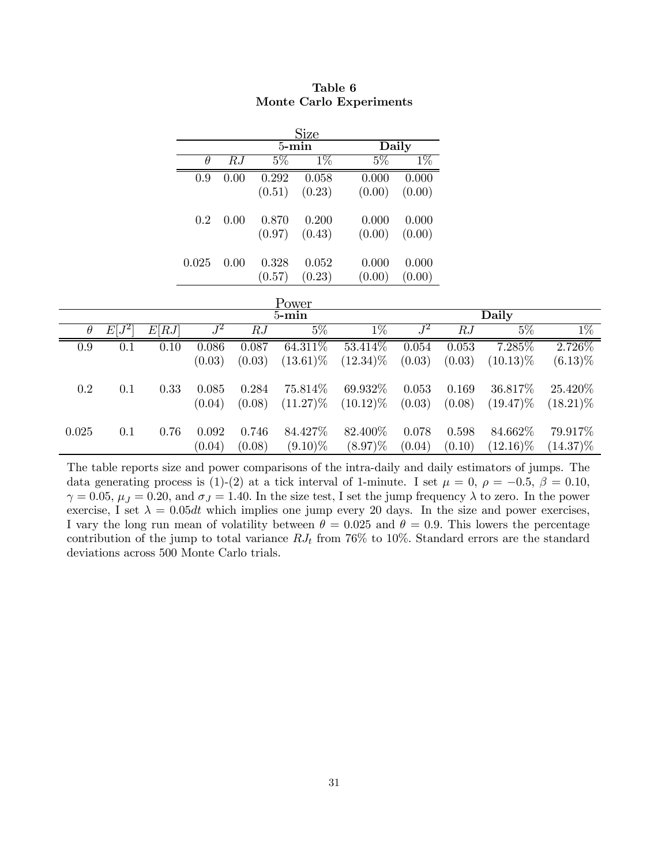| Size     |      |        |        |        |        |  |  |  |  |
|----------|------|--------|--------|--------|--------|--|--|--|--|
|          |      |        | 5-min  | Daily  |        |  |  |  |  |
| $\theta$ | R.J  | $5\%$  | $1\%$  | $5\%$  | $1\%$  |  |  |  |  |
| 0.9      | 0.00 | 0.292  | 0.058  | 0.000  | 0.000  |  |  |  |  |
|          |      | (0.51) | (0.23) | (0.00) | (0.00) |  |  |  |  |
| 0.2      | 0.00 | 0.870  | 0.200  | 0.000  | 0.000  |  |  |  |  |
|          |      | (0.97) | (0.43) | (0.00) | (0.00) |  |  |  |  |
| 0.025    | 0.00 | 0.328  | 0.052  | 0.000  | 0.000  |  |  |  |  |
|          |      | (0.57) | (0.23) | (0.00) | (0.00) |  |  |  |  |

| Table 6                 |  |
|-------------------------|--|
| Monte Carlo Experiments |  |

| .<br>$5 - min$ |          |       |        |        |             |             |        | Daily  |             |             |
|----------------|----------|-------|--------|--------|-------------|-------------|--------|--------|-------------|-------------|
| $\theta$       | $E[J^2]$ | E[RJ] | $J^2$  | RJ     | $5\%$       | $1\%$       | $J^2$  | RJ     | $5\%$       | $1\%$       |
| 0.9            | 0.1      | 0.10  | 0.086  | 0.087  | $64.311\%$  | 53.414\%    | 0.054  | 0.053  | 7.285\%     | 2.726\%     |
|                |          |       | (0.03) | (0.03) | $(13.61)\%$ | $(12.34)\%$ | (0.03) | (0.03) | $(10.13)\%$ | $(6.13)\%$  |
| 0.2            | 0.1      | 0.33  | 0.085  | 0.284  | 75.814\%    | 69.932\%    | 0.053  | 0.169  | 36.817\%    | 25.420\%    |
|                |          |       | (0.04) | (0.08) | $(11.27)\%$ | $(10.12)\%$ | (0.03) | (0.08) | $(19.47)\%$ | $(18.21)\%$ |
| 0.025          | 0.1      | 0.76  | 0.092  | 0.746  | 84.427%     | 82.400\%    | 0.078  | 0.598  | 84.662\%    | 79.917%     |
|                |          |       | (0.04) | (0.08) | $(9.10)\%$  | $(8.97)\%$  | (0.04) | (0.10) | $(12.16)\%$ | $(14.37)\%$ |

The table reports size and power comparisons of the intra-daily and daily estimators of jumps. The data generating process is (1)-(2) at a tick interval of 1-minute. I set  $\mu = 0$ ,  $\rho = -0.5$ ,  $\beta = 0.10$ ,  $\gamma = 0.05$ ,  $\mu_J = 0.20$ , and  $\sigma_J = 1.40$ . In the size test, I set the jump frequency  $\lambda$  to zero. In the power exercise, I set  $\lambda = 0.05dt$  which implies one jump every 20 days. In the size and power exercises, I vary the long run mean of volatility between  $\theta = 0.025$  and  $\theta = 0.9$ . This lowers the percentage contribution of the jump to total variance  $RJ_t$  from 76% to 10%. Standard errors are the standard deviations across 500 Monte Carlo trials.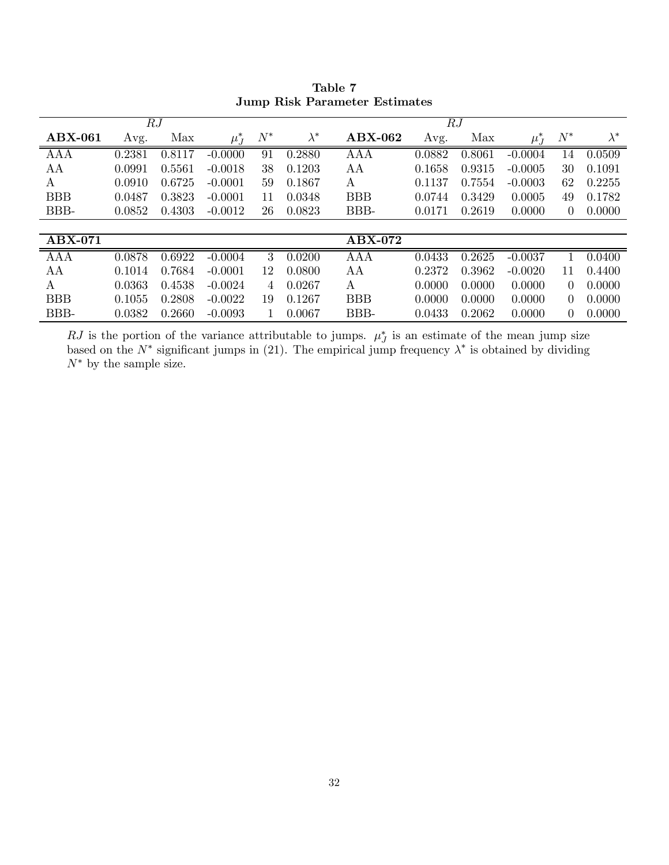|            |        | RJ     |           |            |             |            |        | RJ     |           |                |             |
|------------|--------|--------|-----------|------------|-------------|------------|--------|--------|-----------|----------------|-------------|
| $ABX-061$  | Avg.   | Max    | $\mu_J^*$ | $N^{\ast}$ | $\lambda^*$ | $ABX-062$  | Avg.   | Max    | $\mu_J^*$ | $N^{\ast}$     | $\lambda^*$ |
| <b>AAA</b> | 0.2381 | 0.8117 | $-0.0000$ | 91         | 0.2880      | AAA        | 0.0882 | 0.8061 | $-0.0004$ | 14             | 0.0509      |
| AA         | 0.0991 | 0.5561 | $-0.0018$ | 38         | 0.1203      | AА         | 0.1658 | 0.9315 | $-0.0005$ | 30             | 0.1091      |
| A          | 0.0910 | 0.6725 | $-0.0001$ | 59         | 0.1867      | А          | 0.1137 | 0.7554 | $-0.0003$ | 62             | 0.2255      |
| <b>BBB</b> | 0.0487 | 0.3823 | $-0.0001$ | 11         | 0.0348      | <b>BBB</b> | 0.0744 | 0.3429 | 0.0005    | 49             | 0.1782      |
| BBB-       | 0.0852 | 0.4303 | $-0.0012$ | 26         | 0.0823      | BBB-       | 0.0171 | 0.2619 | 0.0000    | $\theta$       | 0.0000      |
|            |        |        |           |            |             |            |        |        |           |                |             |
| $ABX-071$  |        |        |           |            |             | $ABX-072$  |        |        |           |                |             |
| <b>AAA</b> | 0.0878 | 0.6922 | $-0.0004$ | 3          | 0.0200      | AAA        | 0.0433 | 0.2625 | $-0.0037$ |                | 0.0400      |
| AA         | 0.1014 | 0.7684 | $-0.0001$ | 12         | 0.0800      | AA         | 0.2372 | 0.3962 | $-0.0020$ | 11             | 0.4400      |
| A          | 0.0363 | 0.4538 | $-0.0024$ | 4          | 0.0267      | A          | 0.0000 | 0.0000 | 0.0000    | $\Omega$       | 0.0000      |
| <b>BBB</b> | 0.1055 | 0.2808 | $-0.0022$ | 19         | 0.1267      | <b>BBB</b> | 0.0000 | 0.0000 | 0.0000    | $\theta$       | 0.0000      |
| BBB-       | 0.0382 | 0.2660 | $-0.0093$ |            | 0.0067      | BBB-       | 0.0433 | 0.2062 | 0.0000    | $\overline{0}$ | 0.0000      |

Table 7 Jump Risk Parameter Estimates

RJ is the portion of the variance attributable to jumps.  $\mu_j^*$  is an estimate of the mean jump size based on the  $N^*$  significant jumps in (21). The empirical jump frequency  $\lambda^*$  is obtained by dividing  $N^*$  by the sample size.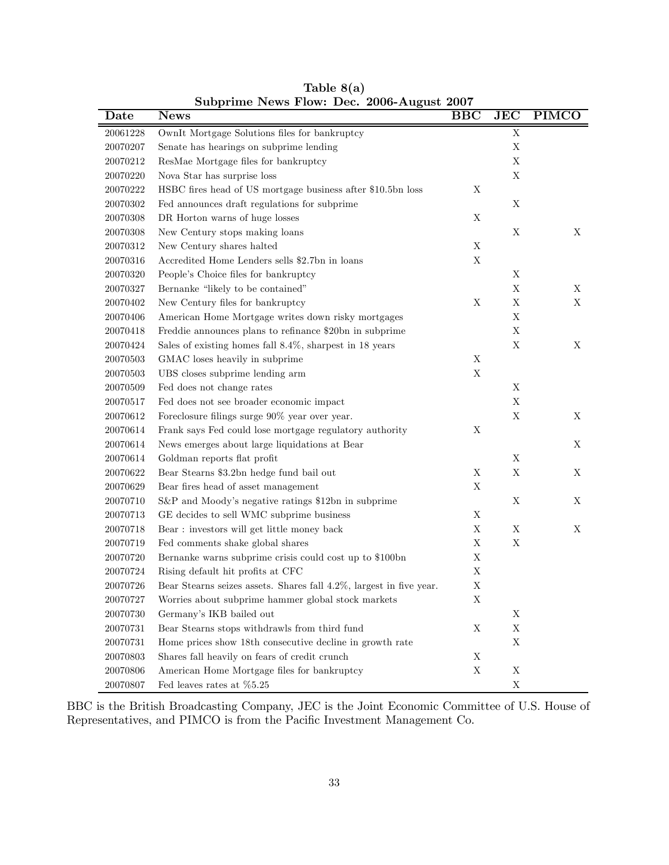| Date     | <b>News</b>                                                         | <b>BBC</b>  | <b>JEC</b>  | <b>PIMCO</b> |
|----------|---------------------------------------------------------------------|-------------|-------------|--------------|
| 20061228 | OwnIt Mortgage Solutions files for bankruptcy                       |             | X           |              |
| 20070207 | Senate has hearings on subprime lending                             |             | $\mathbf X$ |              |
| 20070212 | ResMae Mortgage files for bankruptcy                                |             | X           |              |
| 20070220 | Nova Star has surprise loss                                         |             | $\mathbf X$ |              |
| 20070222 | HSBC fires head of US mortgage business after \$10.5bn loss         | X           |             |              |
| 20070302 | Fed announces draft regulations for subprime                        |             | X           |              |
| 20070308 | DR Horton warns of huge losses                                      | X           |             |              |
| 20070308 | New Century stops making loans                                      |             | X           | X            |
| 20070312 | New Century shares halted                                           | $\mathbf X$ |             |              |
| 20070316 | Accredited Home Lenders sells \$2.7bn in loans                      | $\mathbf X$ |             |              |
| 20070320 | People's Choice files for bankruptcy                                |             | X           |              |
| 20070327 | Bernanke "likely to be contained"                                   |             | $\mathbf X$ | X            |
| 20070402 | New Century files for bankruptcy                                    | $\mathbf X$ | $\mathbf X$ | $\mathbf X$  |
| 20070406 | American Home Mortgage writes down risky mortgages                  |             | $\mathbf X$ |              |
| 20070418 | Freddie announces plans to refinance \$20bn in subprime             |             | $\mathbf X$ |              |
| 20070424 | Sales of existing homes fall 8.4%, sharpest in 18 years             |             | $\mathbf X$ | X            |
| 20070503 | GMAC loses heavily in subprime                                      | $\mathbf X$ |             |              |
| 20070503 | UBS closes subprime lending arm                                     | $\mathbf X$ |             |              |
| 20070509 | Fed does not change rates                                           |             | X           |              |
| 20070517 | Fed does not see broader economic impact                            |             | $\mathbf X$ |              |
| 20070612 | Foreclosure filings surge 90% year over year.                       |             | $\mathbf X$ | X            |
| 20070614 | Frank says Fed could lose mortgage regulatory authority             | X           |             |              |
| 20070614 | News emerges about large liquidations at Bear                       |             |             | X            |
| 20070614 | Goldman reports flat profit                                         |             | X           |              |
| 20070622 | Bear Stearns \$3.2bn hedge fund bail out                            | $\mathbf X$ | $\mathbf X$ | X            |
| 20070629 | Bear fires head of asset management                                 | X           |             |              |
| 20070710 | S&P and Moody's negative ratings \$12bn in subprime                 |             | X           | X            |
| 20070713 | GE decides to sell WMC subprime business                            | X           |             |              |
| 20070718 | Bear: investors will get little money back                          | $\mathbf X$ | X           | X            |
| 20070719 | Fed comments shake global shares                                    | X           | $\mathbf X$ |              |
| 20070720 | Bernanke warns subprime crisis could cost up to \$100bn             | $\mathbf X$ |             |              |
| 20070724 | Rising default hit profits at CFC                                   | X           |             |              |
| 20070726 | Bear Stearns seizes assets. Shares fall 4.2%, largest in five year. | X           |             |              |
| 20070727 | Worries about subprime hammer global stock markets                  | Χ           |             |              |
| 20070730 | Germany's IKB bailed out                                            |             | X           |              |
| 20070731 | Bear Stearns stops withdrawls from third fund                       | X           | X           |              |
| 20070731 | Home prices show 18th consecutive decline in growth rate            |             | X           |              |
| 20070803 | Shares fall heavily on fears of credit crunch                       | $\mathbf X$ |             |              |
| 20070806 | American Home Mortgage files for bankruptcy                         | $\mathbf X$ | $\mathbf X$ |              |
| 20070807 | Fed leaves rates at $\%5.25$                                        |             | $\mathbf X$ |              |

Table 8(a) Subprime News Flow: Dec. 2006-August 2007

BBC is the British Broadcasting Company, JEC is the Joint Economic Committee of U.S. House of Representatives, and PIMCO is from the Pacific Investment Management Co.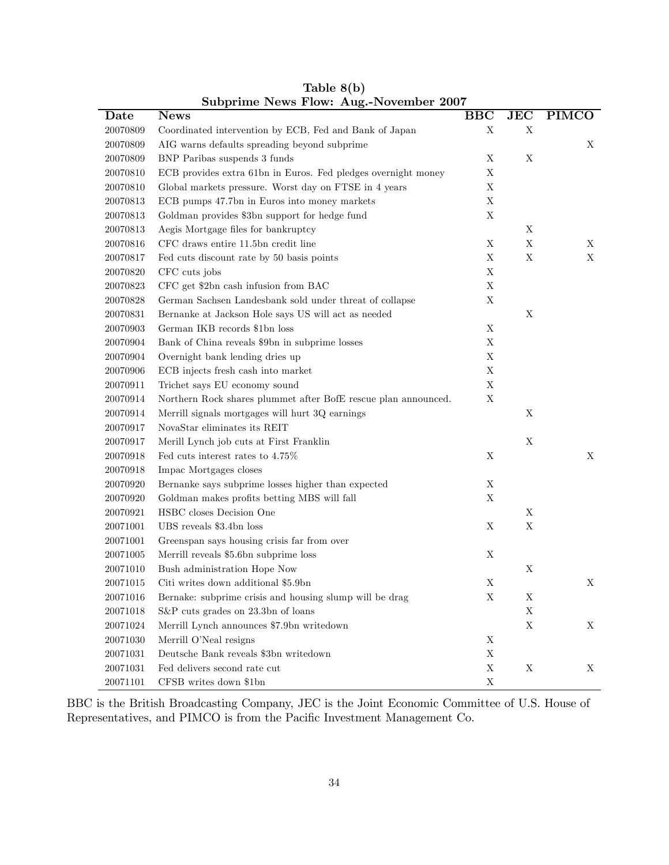|          | Subprime rews riow. Aug.-rovember 2007                         |             |             |              |
|----------|----------------------------------------------------------------|-------------|-------------|--------------|
| Date     | <b>News</b>                                                    | <b>BBC</b>  | JEC         | <b>PIMCO</b> |
| 20070809 | Coordinated intervention by ECB, Fed and Bank of Japan         | X           | $\mathbf X$ |              |
| 20070809 | AIG warns defaults spreading beyond subprime                   |             |             | X            |
| 20070809 | BNP Paribas suspends 3 funds                                   | X           | X           |              |
| 20070810 | ECB provides extra 61bn in Euros. Fed pledges overnight money  | X           |             |              |
| 20070810 | Global markets pressure. Worst day on FTSE in 4 years          | X           |             |              |
| 20070813 | ECB pumps 47.7bn in Euros into money markets                   | $\mathbf X$ |             |              |
| 20070813 | Goldman provides \$3bn support for hedge fund                  | $\mathbf X$ |             |              |
| 20070813 | Aegis Mortgage files for bankruptcy                            |             | Χ           |              |
| 20070816 | CFC draws entire 11.5bn credit line                            | X           | $\mathbf X$ | X            |
| 20070817 | Fed cuts discount rate by 50 basis points                      | X           | $\mathbf X$ | X            |
| 20070820 | CFC cuts jobs                                                  | $\mathbf X$ |             |              |
| 20070823 | CFC get \$2bn cash infusion from BAC                           | X           |             |              |
| 20070828 | German Sachsen Landesbank sold under threat of collapse        | $\mathbf X$ |             |              |
| 20070831 | Bernanke at Jackson Hole says US will act as needed            |             | X           |              |
| 20070903 | German IKB records \$1bn loss                                  | X           |             |              |
| 20070904 | Bank of China reveals \$9bn in subprime losses                 | X           |             |              |
| 20070904 | Overnight bank lending dries up                                | X           |             |              |
| 20070906 | ECB injects fresh cash into market                             | $\mathbf X$ |             |              |
| 20070911 | Trichet says EU economy sound                                  | $\mathbf X$ |             |              |
| 20070914 | Northern Rock shares plummet after BofE rescue plan announced. | $\mathbf X$ |             |              |
| 20070914 | Merrill signals mortgages will hurt 3Q earnings                |             | X           |              |
| 20070917 | NovaStar eliminates its REIT                                   |             |             |              |
| 20070917 | Merill Lynch job cuts at First Franklin                        |             | X           |              |
| 20070918 | Fed cuts interest rates to $4.75\%$                            | X           |             | X            |
| 20070918 | Impac Mortgages closes                                         |             |             |              |
| 20070920 | Bernanke says subprime losses higher than expected             | X           |             |              |
| 20070920 | Goldman makes profits betting MBS will fall                    | X           |             |              |
| 20070921 | HSBC closes Decision One                                       |             | X           |              |
| 20071001 | UBS reveals \$3.4bn loss                                       | Χ           | $\mathbf X$ |              |
| 20071001 | Greenspan says housing crisis far from over                    |             |             |              |
| 20071005 | Merrill reveals \$5.6bn subprime loss                          | X           |             |              |
| 20071010 | Bush administration Hope Now                                   |             | $\mathbf X$ |              |
| 20071015 | Citi writes down additional \$5.9bn                            | X           |             | X            |
| 20071016 | Bernake: subprime crisis and housing slump will be drag        | Χ           | Х           |              |
| 20071018 | S&P cuts grades on 23.3bn of loans                             |             | X           |              |
| 20071024 | Merrill Lynch announces \$7.9bn writedown                      |             | X           | X            |
| 20071030 | Merrill O'Neal resigns                                         | $\mathbf X$ |             |              |
| 20071031 | Deutsche Bank reveals \$3bn writedown                          | X           |             |              |
| 20071031 | Fed delivers second rate cut                                   | $\mathbf X$ | $\mathbf X$ | X            |
| 20071101 | CFSB writes down \$1bn                                         | $\mathbf X$ |             |              |

Table 8(b) Subprime News Flow: Aug.-November 2007

BBC is the British Broadcasting Company, JEC is the Joint Economic Committee of U.S. House of Representatives, and PIMCO is from the Pacific Investment Management Co.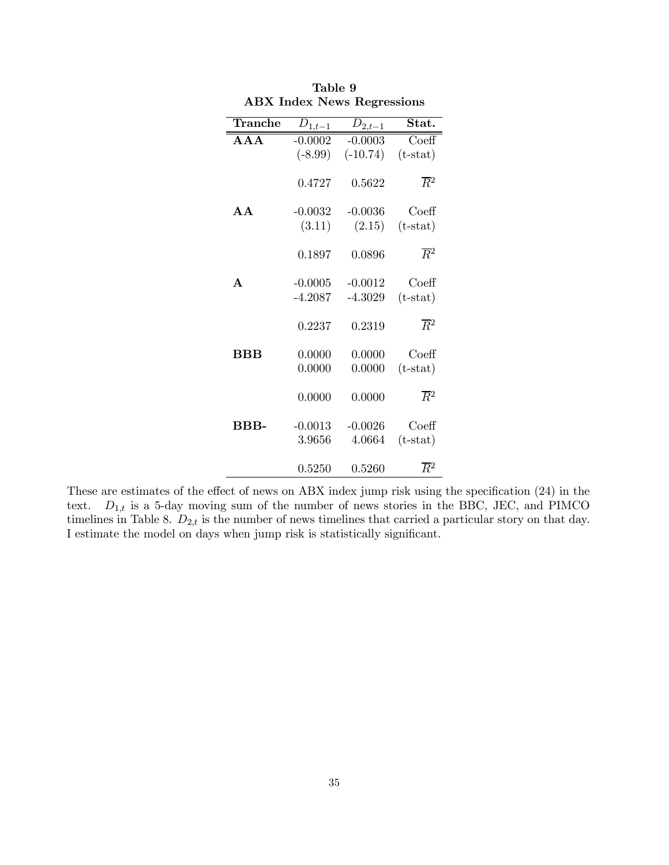| $ADX$ lines ivews regressions |             |             |                              |  |  |  |
|-------------------------------|-------------|-------------|------------------------------|--|--|--|
| $\operatorname{Tranche}$      | $D_{1,t-1}$ | $D_{2,t-1}$ | Stat.                        |  |  |  |
| $A \overline{A} A$            | $-0.0002$   | $-0.0003$   | $\overline{\mathrm{Co}}$ eff |  |  |  |
|                               | $(-8.99)$   | $(-10.74)$  | $(t-stat)$                   |  |  |  |
|                               | 0.4727      | 0.5622      | $\overline{R}{}^2$           |  |  |  |
| A A                           | $-0.0032$   | $-0.0036$   | $\mathrm{Coeff}$             |  |  |  |
|                               | (3.11)      | (2.15)      | $(t-stat)$                   |  |  |  |
|                               | 0.1897      | 0.0896      | $\overline{R}{}^2$           |  |  |  |
| $\mathbf{A}$                  | $-0.0005$   | $-0.0012$   | Coeff                        |  |  |  |
|                               | $-4.2087$   | $-4.3029$   | $(t-stat)$                   |  |  |  |
|                               | 0.2237      | 0.2319      | $\overline{R}{}^2$           |  |  |  |
| $_{\rm BBB}$                  | 0.0000      | 0.0000      | $\mathrm{Coeff}$             |  |  |  |
|                               | 0.0000      | 0.0000      | $(t-stat)$                   |  |  |  |
|                               | 0.0000      | 0.0000      | $\overline{R}{}^2$           |  |  |  |
| BBB-                          | $-0.0013$   | $-0.0026$   | $\mathrm{Coeff}$             |  |  |  |
|                               | 3.9656      | 4.0664      | $(t-stat)$                   |  |  |  |
|                               | 0.5250      | 0.5260      | $\overline{R}{}^2$           |  |  |  |

| Table 9                           |  |
|-----------------------------------|--|
| <b>ABX</b> Index News Regressions |  |

These are estimates of the effect of news on ABX index jump risk using the specification (24) in the text.  $D_{1,t}$  is a 5-day moving sum of the number of news stories in the BBC, JEC, and PIMCO timelines in Table 8.  $D_{2,t}$  is the number of news timelines that carried a particular story on that day. I estimate the model on days when jump risk is statistically significant.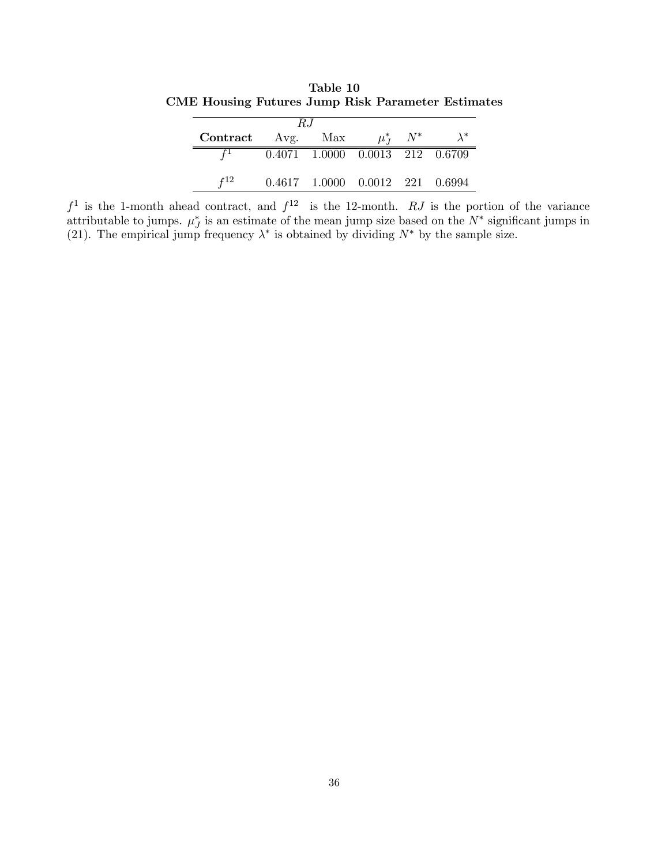Table 10 CME Housing Futures Jump Risk Parameter Estimates

| -R.I          |  |                                           |             |            |  |
|---------------|--|-------------------------------------------|-------------|------------|--|
| Contract Avg. |  | Max                                       | $\mu_{I}^*$ | $N^{\ast}$ |  |
|               |  | $0.4071$ $1.0000$ $0.0013$ $212$ $0.6709$ |             |            |  |
| r 12          |  | $0.4617$ $1.0000$ $0.0012$ $221$ $0.6994$ |             |            |  |

 $f<sup>1</sup>$  is the 1-month ahead contract, and  $f<sup>12</sup>$  is the 12-month. RJ is the portion of the variance attributable to jumps.  $\mu_J^*$  is an estimate of the mean jump size based on the  $N^*$  significant jumps in (21). The empirical jump frequency  $\lambda^*$  is obtained by dividing  $N^*$  by the sample size.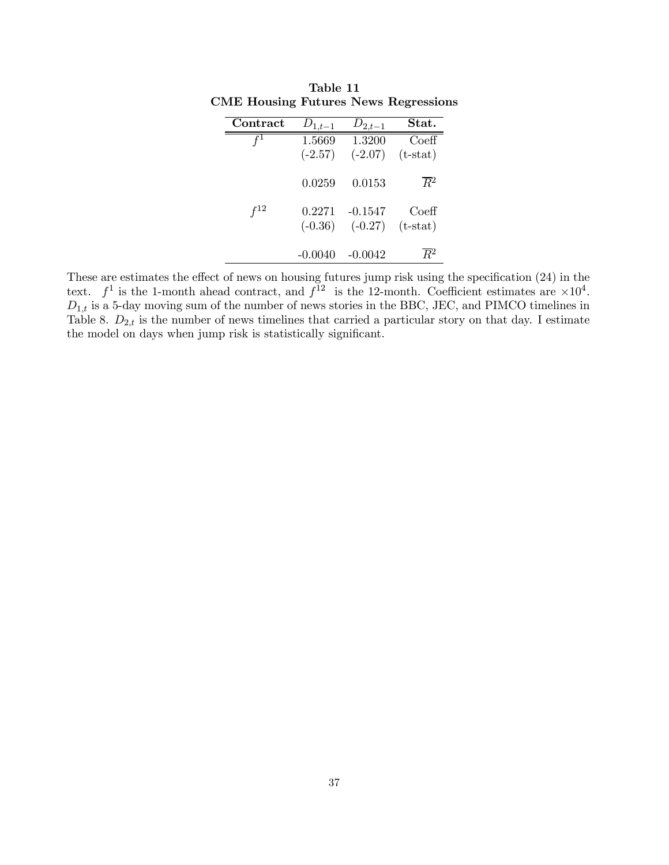| Contract | $D_{1,t-1}$         | $D_{2,t-1}$            | Stat.                          |
|----------|---------------------|------------------------|--------------------------------|
|          | 1.5669<br>$(-2.57)$ | 1.3200<br>$(-2.07)$    | $\mathrm{Coeff}$<br>$(t-stat)$ |
|          | 0.0259              | 0.0153                 | $R^2$                          |
| f12      | 0.2271<br>$(-0.36)$ | $-0.1547$<br>$(-0.27)$ | Coeff<br>$(t-stat)$            |
|          | $-0.0040$           | $-0.0042$              | $R^2$                          |

Table 11 CME Housing Futures News Regressions

These are estimates the effect of news on housing futures jump risk using the specification (24) in the text.  $f^1$  is the 1-month ahead contract, and  $f^{12}$  is the 12-month. Coefficient estimates are  $\times 10^4$ .  $D_{1,t}$  is a 5-day moving sum of the number of news stories in the BBC, JEC, and PIMCO timelines in Table 8.  $D_{2,t}$  is the number of news timelines that carried a particular story on that day. I estimate the model on days when jump risk is statistically significant.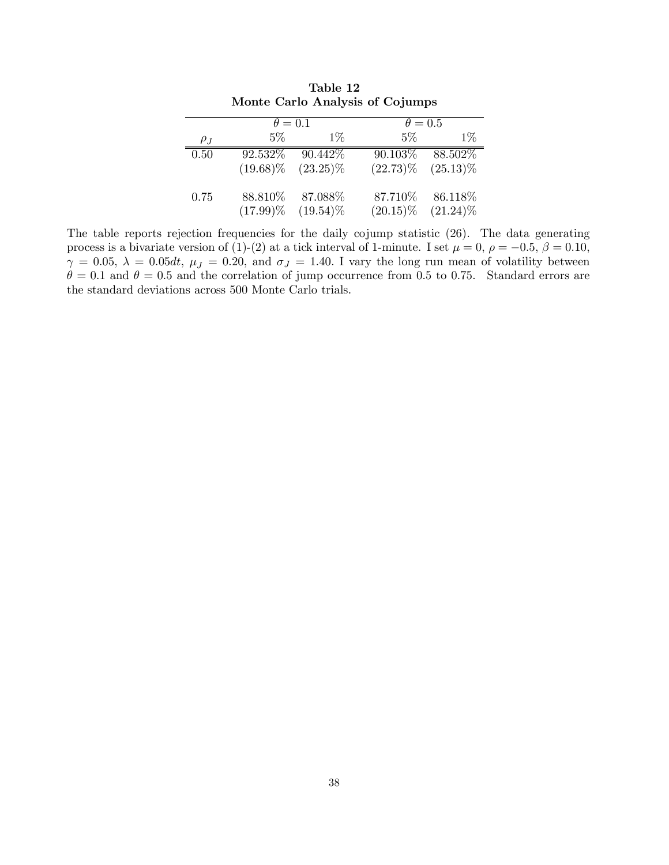|          | $\theta = 0.1$ |             | $\theta = 0.5$ |             |
|----------|----------------|-------------|----------------|-------------|
| $\rho_J$ | $5\%$          | $1\%$       | $5\%$          | $1\%$       |
| 0.50     | 92.532\%       | 90.442\%    | 90.103%        | 88.502%     |
|          | $(19.68)\%$    | $(23.25)\%$ | $(22.73)\%$    | $(25.13)\%$ |
| 0.75     | 88.810%        | 87.088%     | 87.710%        | 86.118%     |
|          | $(17.99)\%$    | $(19.54)\%$ | $(20.15)\%$    | $(21.24)\%$ |

Table 12 Monte Carlo Analysis of Cojumps

The table reports rejection frequencies for the daily cojump statistic  $(26)$ . The data generating process is a bivariate version of (1)-(2) at a tick interval of 1-minute. I set  $\mu = 0$ ,  $\rho = -0.5$ ,  $\beta = 0.10$ ,  $\gamma = 0.05$ ,  $\lambda = 0.05dt$ ,  $\mu_J = 0.20$ , and  $\sigma_J = 1.40$ . I vary the long run mean of volatility between  $\theta = 0.1$  and  $\theta = 0.5$  and the correlation of jump occurrence from 0.5 to 0.75. Standard errors are the standard deviations across 500 Monte Carlo trials.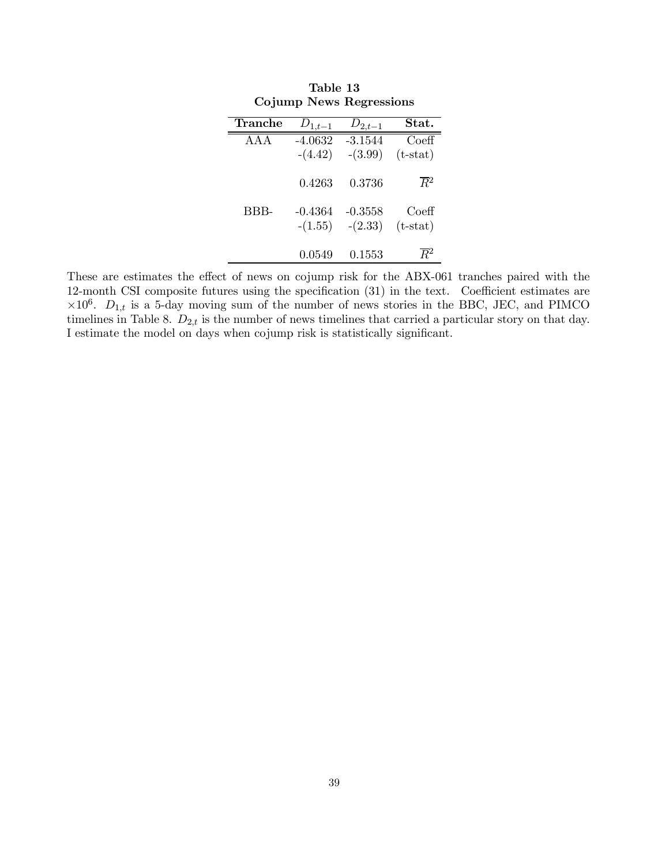| Tranche | $D_{1,t-1}$ | $D_{2,t-1}$ | Stat.              |  |  |  |
|---------|-------------|-------------|--------------------|--|--|--|
| A A A   | $-4.0632$   | $-3.1544$   | $\mathrm{Coeff}$   |  |  |  |
|         | $-(4.42)$   | $-(3.99)$   | $(t-stat)$         |  |  |  |
|         | 0.4263      | 0.3736      | $\overline{R}{}^2$ |  |  |  |
| BBB-    | $-0.4364$   | $-0.3558$   | Coeff              |  |  |  |
|         | $-(1.55)$   | $-(2.33)$   | $(t-stat)$         |  |  |  |
|         | 0.0549      | 0.1553      | $R^2$              |  |  |  |

Table 13 Cojump News Regressions

These are estimates the effect of news on cojump risk for the ABX-061 tranches paired with the 12-month CSI composite futures using the specification (31) in the text. Coefficient estimates are  $\times 10^6$ .  $D_{1,t}$  is a 5-day moving sum of the number of news stories in the BBC, JEC, and PIMCO timelines in Table 8.  $D_{2,t}$  is the number of news timelines that carried a particular story on that day. I estimate the model on days when cojump risk is statistically significant.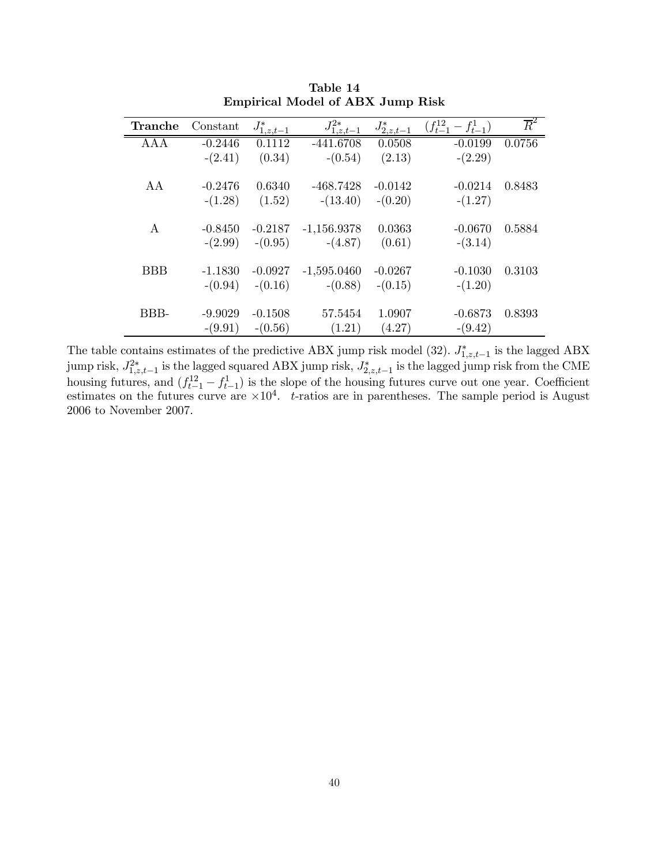| <b>Tranche</b> | Constant  | $J^*_{1,z,\underline{t-1}}$ | $J_{1, z, t-1}^{2*}$ | $J^*_{2, \underline{z}, \underline{t-1}}$ | $(f_{t-1}^{12} - f_{t-1}^{1})$ | $\overline{R}^2$ |
|----------------|-----------|-----------------------------|----------------------|-------------------------------------------|--------------------------------|------------------|
| AAA            | $-0.2446$ | 0.1112                      | $-441.6708$          | 0.0508                                    | $-0.0199$                      | 0.0756           |
|                | $-(2.41)$ | (0.34)                      | $-(0.54)$            | (2.13)                                    | $-(2.29)$                      |                  |
| AA             | $-0.2476$ | 0.6340                      | $-468.7428$          | $-0.0142$                                 | $-0.0214$                      | 0.8483           |
|                | $-(1.28)$ | (1.52)                      | $-(13.40)$           | $-(0.20)$                                 | $-(1.27)$                      |                  |
| $\bf{A}$       | $-0.8450$ | $-0.2187$                   | $-1,156.9378$        | 0.0363                                    | $-0.0670$                      | 0.5884           |
|                | $-(2.99)$ | $-(0.95)$                   | $-(4.87)$            | (0.61)                                    | $-(3.14)$                      |                  |
| <b>BBB</b>     | $-1.1830$ | $-0.0927$                   | $-1,595.0460$        | $-0.0267$                                 | $-0.1030$                      | 0.3103           |
|                | $-(0.94)$ | $-(0.16)$                   | $-(0.88)$            | $-(0.15)$                                 | $-(1.20)$                      |                  |
| BBB-           | $-9.9029$ | $-0.1508$                   | 57.5454              | 1.0907                                    | $-0.6873$                      | 0.8393           |
|                | $-(9.91)$ | $-(0.56)$                   | (1.21)               | (4.27)                                    | $-(9.42)$                      |                  |

Table 14 Empirical Model of ABX Jump Risk

The table contains estimates of the predictive ABX jump risk model (32).  $J_{1,z,t-1}^*$  is the lagged ABX  $\min_{j}$  risk,  $J_{1,z,t-1}^{2*}$  is the lagged squared ABX jump risk,  $J_{2,z,t-1}^{*}$  is the lagged jump risk from the CME housing futures, and  $(f_{t-1}^{12} - f_{t-1}^{1})$  is the slope of the housing futures curve out one year. Coefficient estimates on the futures curve are  $\times 10^4$ . t-ratios are in parentheses. The sample period is August 2006 to November 2007.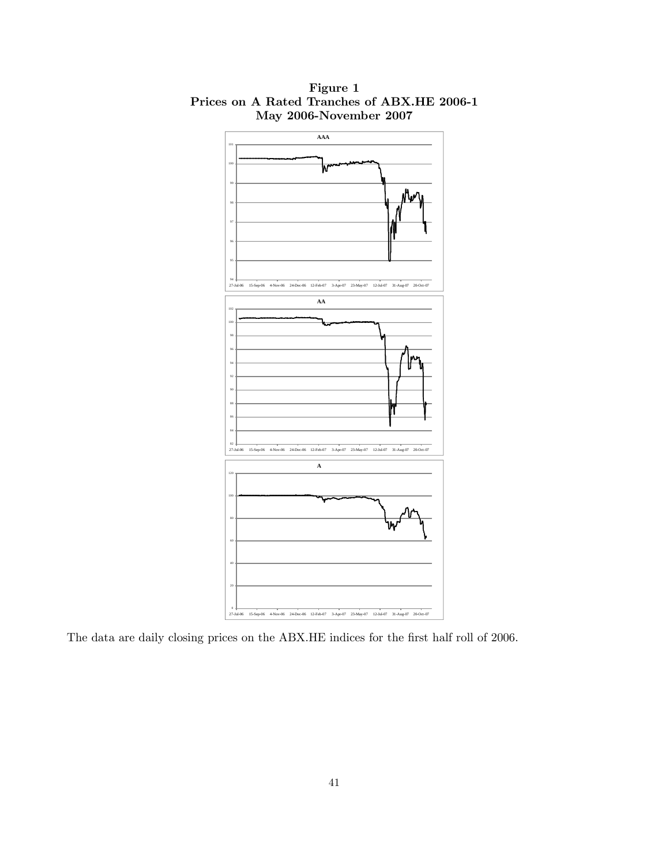

Figure 1 Prices on A Rated Tranches of ABX.HE 2006-1 May 2006-November 2007

The data are daily closing prices on the ABX.HE indices for the first half roll of 2006.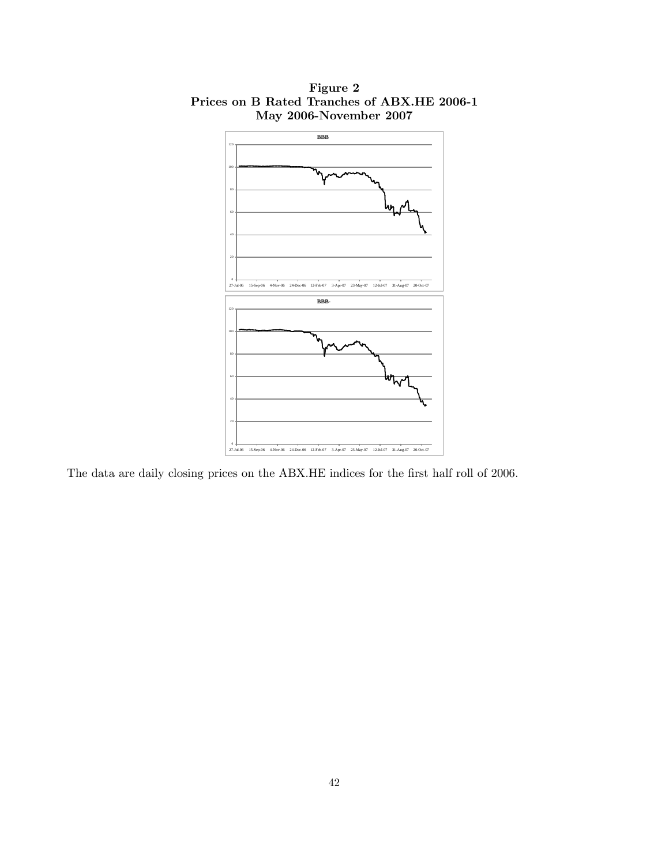

Figure 2 Prices on B Rated Tranches of ABX.HE 2006-1 May 2006-November 2007

The data are daily closing prices on the ABX.HE indices for the first half roll of 2006.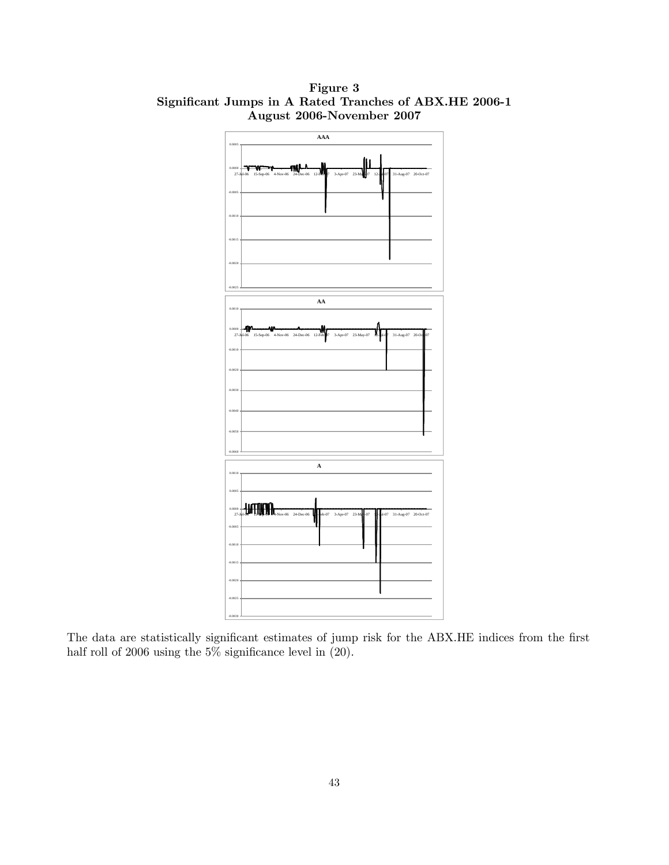

Figure 3 Significant Jumps in A Rated Tranches of ABX.HE 2006-1 August 2006-November 2007

The data are statistically significant estimates of jump risk for the ABX.HE indices from the first half roll of 2006 using the  $5\%$  significance level in  $(20)$ .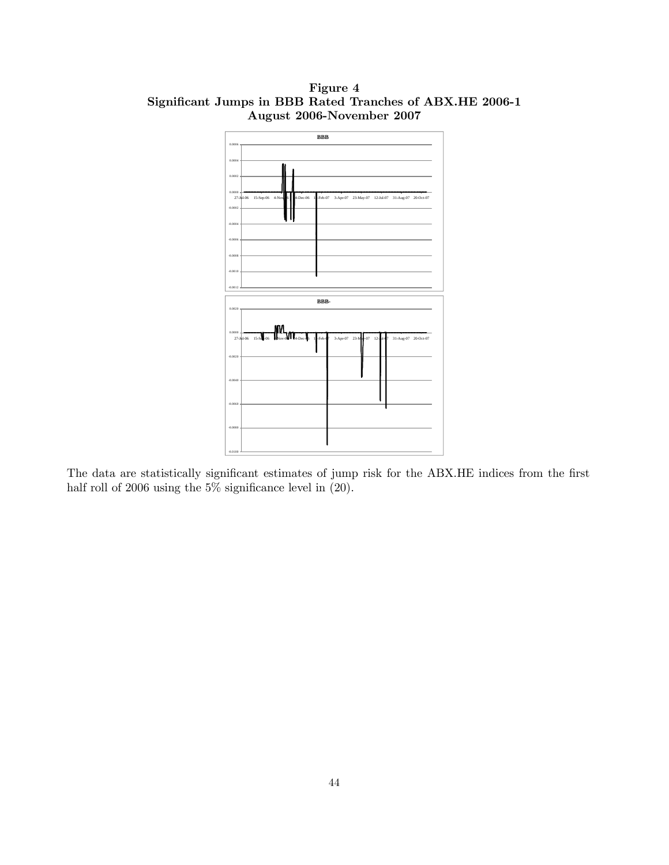

Figure 4 Significant Jumps in BBB Rated Tranches of ABX.HE 2006-1 August 2006-November 2007

The data are statistically significant estimates of jump risk for the ABX.HE indices from the first half roll of 2006 using the 5% significance level in  $(20)$ .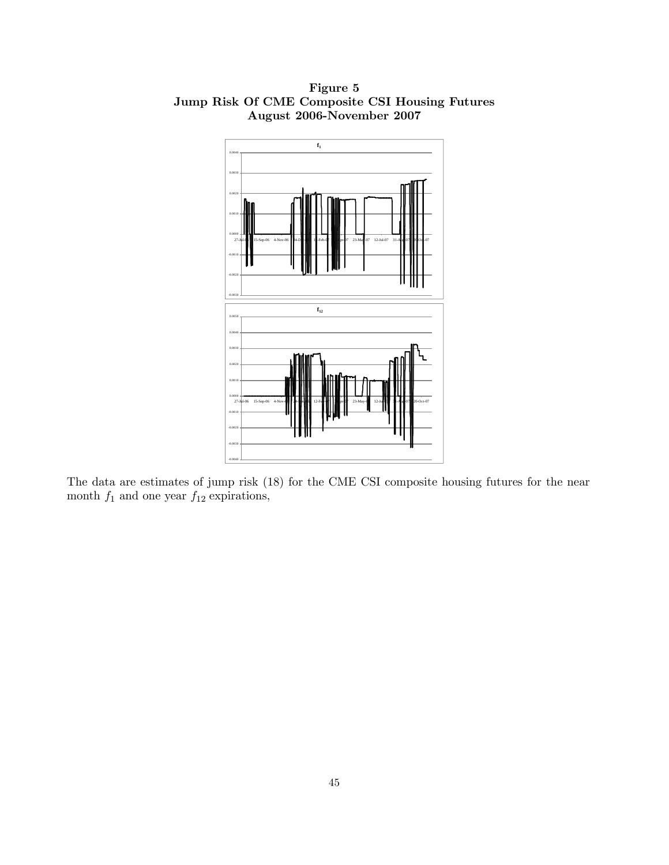

Figure 5 Jump Risk Of CME Composite CSI Housing Futures August 2006-November 2007

The data are estimates of jump risk (18) for the CME CSI composite housing futures for the near month  $f_1$  and one year  $f_{12}$  expirations,